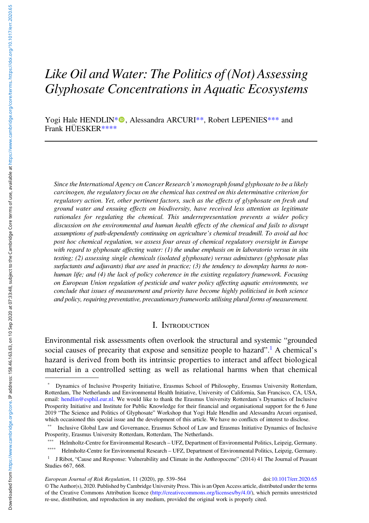# Like Oil and Water: The Politics of (Not) Assessing Glyphosate Concentrations in Aquatic Ecosystems

Yogi Hale HENDLIN\*<sup>®</sup>[,](https://orcid.org/0000-0002-1714-6132) Alessandra ARCURI\*\*, Robert LEPENIES\*\*\* and Frank HÜESKER\*\*\*\*

Since the International Agency on Cancer Research's monograph found glyphosate to be a likely carcinogen, the regulatory focus on the chemical has centred on this determinative criterion for regulatory action. Yet, other pertinent factors, such as the effects of glyphosate on fresh and ground water and ensuing effects on biodiversity, have received less attention as legitimate rationales for regulating the chemical. This underrepresentation prevents a wider policy discussion on the environmental and human health effects of the chemical and fails to disrupt assumptions of path-dependently continuing on agriculture's chemical treadmill. To avoid ad hoc post hoc chemical regulation, we assess four areas of chemical regulatory oversight in Europe with regard to glyphosate affecting water: (1) the undue emphasis on in laboratorio versus in situ testing; (2) assessing single chemicals (isolated glyphosate) versus admixtures (glyphosate plus surfactants and adjuvants) that are used in practice; (3) the tendency to downplay harms to nonhuman life; and (4) the lack of policy coherence in the existing regulatory framework. Focusing on European Union regulation of pesticide and water policy affecting aquatic environments, we conclude that issues of measurement and priority have become highly politicised in both science and policy, requiring preventative, precautionary frameworks utilising plural forms of measurement.

#### I. INTRODUCTION

Environmental risk assessments often overlook the structural and systemic "grounded social causes of precarity that expose and sensitize people to hazard".<sup>1</sup> A chemical's hazard is derived from both its intrinsic properties to interact and affect biological material in a controlled setting as well as relational harms when that chemical

European Journal of Risk Regulation, 11 (2020), pp. 539–564 doi[:10.1017/err.2020.65](https://doi.org/10.1017/err.2020.65) © The Author(s), 2020. Published by Cambridge University Press. This is an Open Access article, distributed under the terms of the Creative Commons Attribution licence [\(http://creativecommons.org/licenses/by/4.0/](http://creativecommons.org/licenses/by/4.0/)), which permits unrestricted re-use, distribution, and reproduction in any medium, provided the original work is properly cited.

<sup>\*</sup> Dynamics of Inclusive Prosperity Initiative, Erasmus School of Philosophy, Erasmus University Rotterdam, Rotterdam, The Netherlands and Environmental Health Initiative, University of California, San Francisco, CA, USA, email: [hendlin@esphil.eur.nl.](mailto:hendlin@esphil.eur.nl) We would like to thank the Erasmus University Rotterdam's Dynamics of Inclusive Prosperity Initiative and Institute for Public Knowledge for their financial and organisational support for the 6 June 2019 "The Science and Politics of Glyphosate" Workshop that Yogi Hale Hendlin and Alessandra Arcuri organised, which occasioned this special issue and the development of this article. We have no conflicts of interest to disclose.

<sup>\*\*</sup> Inclusive Global Law and Governance, Erasmus School of Law and Erasmus Initiative Dynamics of Inclusive Prosperity, Erasmus University Rotterdam, Rotterdam, The Netherlands.

<sup>\*\*\*</sup> Helmholtz-Centre for Environmental Research – UFZ, Department of Environmental Politics, Leipzig, Germany.

<sup>\*\*\*\*</sup> Helmholtz-Centre for Environmental Research – UFZ, Department of Environmental Politics, Leipzig, Germany. <sup>1</sup> J Ribot, "Cause and Response: Vulnerability and Climate in the Anthropocene" (2014) 41 The Journal of Peasant Studies 667, 668.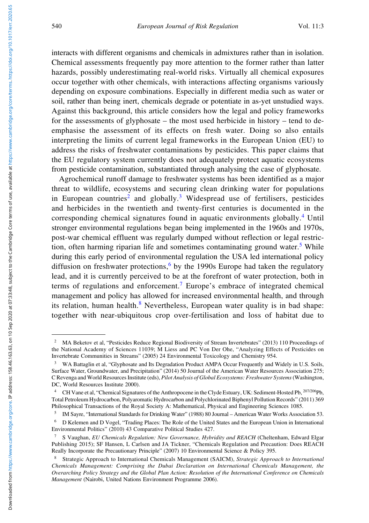interacts with different organisms and chemicals in admixtures rather than in isolation. Chemical assessments frequently pay more attention to the former rather than latter hazards, possibly underestimating real-world risks. Virtually all chemical exposures occur together with other chemicals, with interactions affecting organisms variously depending on exposure combinations. Especially in different media such as water or soil, rather than being inert, chemicals degrade or potentiate in as-yet unstudied ways. Against this background, this article considers how the legal and policy frameworks for the assessments of glyphosate – the most used herbicide in history – tend to deemphasise the assessment of its effects on fresh water. Doing so also entails interpreting the limits of current legal frameworks in the European Union (EU) to address the risks of freshwater contaminations by pesticides. This paper claims that the EU regulatory system currently does not adequately protect aquatic ecosystems from pesticide contamination, substantiated through analysing the case of glyphosate.

Agrochemical runoff damage to freshwater systems has been identified as a major threat to wildlife, ecosystems and securing clean drinking water for populations in European countries<sup>2</sup> and globally.<sup>3</sup> Widespread use of fertilisers, pesticides and herbicides in the twentieth and twenty-first centuries is documented in the corresponding chemical signatures found in aquatic environments globally.<sup>4</sup> Until stronger environmental regulations began being implemented in the 1960s and 1970s, post-war chemical effluent was regularly dumped without reflection or legal restriction, often harming riparian life and sometimes contaminating ground water.<sup>5</sup> While during this early period of environmental regulation the USA led international policy diffusion on freshwater protections,<sup>6</sup> by the 1990s Europe had taken the regulatory lead, and it is currently perceived to be at the forefront of water protection, both in terms of regulations and enforcement.<sup>7</sup> Europe's embrace of integrated chemical management and policy has allowed for increased environmental health, and through its relation, human health.<sup>8</sup> Nevertheless, European water quality is in bad shape: together with near-ubiquitous crop over-fertilisation and loss of habitat due to

<sup>&</sup>lt;sup>2</sup> MA Beketov et al, "Pesticides Reduce Regional Biodiversity of Stream Invertebrates" (2013) 110 Proceedings of the National Academy of Sciences 11039; M Liess and PC Von Der Ohe, "Analyzing Effects of Pesticides on Invertebrate Communities in Streams" (2005) 24 Environmental Toxicology and Chemistry 954.

<sup>&</sup>lt;sup>3</sup> WA Battaglin et al, "Glyphosate and Its Degradation Product AMPA Occur Frequently and Widely in U.S. Soils, Surface Water, Groundwater, and Precipitation" (2014) 50 Journal of the American Water Resources Association 275; C Revenga and World Resources Institute (eds), Pilot Analysis of Global Ecosystems: Freshwater Systems(Washington, DC, World Resources Institute 2000).

<sup>4</sup> CH Vane et al, "Chemical Signatures of the Anthropocene in the Clyde Estuary, UK: Sediment-Hosted Pb, 207/206Pb, Total Petroleum Hydrocarbon, Polyaromatic Hydrocarbon and Polychlorinated Biphenyl Pollution Records" (2011) 369 Philosophical Transactions of the Royal Society A: Mathematical, Physical and Engineering Sciences 1085.

<sup>5</sup> IM Sayre, "International Standards for Drinking Water" (1988) 80 Journal – American Water Works Association 53.

<sup>6</sup> D Kelemen and D Vogel, "Trading Places: The Role of the United States and the European Union in International Environmental Politics" (2010) 43 Comparative Political Studies 427.

S Vaughan, EU Chemicals Regulation: New Governance, Hybridity and REACH (Cheltenham, Edward Elgar Publishing 2015); SF Hansen, L Carlsen and JA Tickner, "Chemicals Regulation and Precaution: Does REACH Really Incorporate the Precautionary Principle" (2007) 10 Environmental Science & Policy 395.

<sup>8</sup> Strategic Approach to International Chemicals Management (SAICM), Strategic Approach to International Chemicals Management: Comprising the Dubai Declaration on International Chemicals Management, the Overarching Policy Strategy and the Global Plan Action: Resolution of the International Conference on Chemicals Management (Nairobi, United Nations Environment Programme 2006).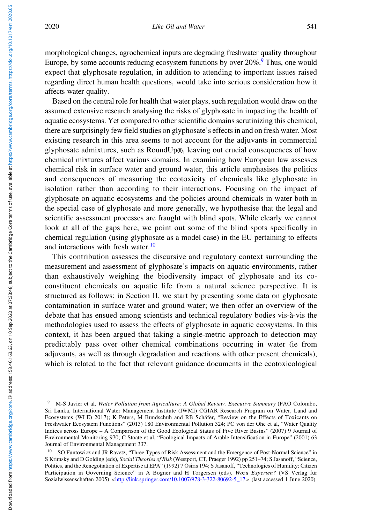Downloaded from https://www.cambridge.org/core. IP address: 158.46.163.63, on 10 Sep 2020 at 07:33:48, subject to the Cambridge Core terms of use, available at https://www.cambridge.org/core/terms. https://doi.org/10.1017/ Downloaded from https://www.cambridge.org/core. IP address: 158.46.163.63. On 10 Sep 2020 at 07:33:48, subject to the Cambridge Core terms of use, available at https://www.cambridge.org/toi.org/10.1017/err.2020.65

morphological changes, agrochemical inputs are degrading freshwater quality throughout Europe, by some accounts reducing ecosystem functions by over  $20\%$ . Thus, one would expect that glyphosate regulation, in addition to attending to important issues raised regarding direct human health questions, would take into serious consideration how it affects water quality.

Based on the central role for health that water plays, such regulation would draw on the assumed extensive research analysing the risks of glyphosate in impacting the health of aquatic ecosystems. Yet compared to other scientific domains scrutinizing this chemical, there are surprisingly few field studies on glyphosate's effects in and on fresh water. Most existing research in this area seems to not account for the adjuvants in commercial glyphosate admixtures, such as RoundUp®, leaving out crucial consequences of how chemical mixtures affect various domains. In examining how European law assesses chemical risk in surface water and ground water, this article emphasises the politics and consequences of measuring the ecotoxicity of chemicals like glyphosate in isolation rather than according to their interactions. Focusing on the impact of glyphosate on aquatic ecosystems and the policies around chemicals in water both in the special case of glyphosate and more generally, we hypothesise that the legal and scientific assessment processes are fraught with blind spots. While clearly we cannot look at all of the gaps here, we point out some of the blind spots specifically in chemical regulation (using glyphosate as a model case) in the EU pertaining to effects and interactions with fresh water. $10$ 

This contribution assesses the discursive and regulatory context surrounding the measurement and assessment of glyphosate's impacts on aquatic environments, rather than exhaustively weighing the biodiversity impact of glyphosate and its coconstituent chemicals on aquatic life from a natural science perspective. It is structured as follows: in Section II, we start by presenting some data on glyphosate contamination in surface water and ground water; we then offer an overview of the debate that has ensued among scientists and technical regulatory bodies vis-à-vis the methodologies used to assess the effects of glyphosate in aquatic ecosystems. In this context, it has been argued that taking a single-metric approach to detection may predictably pass over other chemical combinations occurring in water (ie from adjuvants, as well as through degradation and reactions with other present chemicals), which is related to the fact that relevant guidance documents in the ecotoxicological

<sup>&</sup>lt;sup>9</sup> M-S Javier et al, Water Pollution from Agriculture: A Global Review. Executive Summary (FAO Colombo, Sri Lanka, International Water Management Institute (IWMI) CGIAR Research Program on Water, Land and Ecosystems (WLE) 2017); K Peters, M Bundschuh and RB Schäfer, "Review on the Effects of Toxicants on Freshwater Ecosystem Functions" (2013) 180 Environmental Pollution 324; PC von der Ohe et al, "Water Quality Indices across Europe – A Comparison of the Good Ecological Status of Five River Basins" (2007) 9 Journal of Environmental Monitoring 970; C Stoate et al, "Ecological Impacts of Arable Intensification in Europe" (2001) 63 Journal of Environmental Management 337.

<sup>&</sup>lt;sup>10</sup> SO Funtowicz and JR Ravetz, "Three Types of Risk Assessment and the Emergence of Post-Normal Science" in S Krimsky and D Golding (eds), Social Theories of Risk (Westport, CT, Praeger 1992) pp 251–74; S Jasanoff, "Science, Politics, and the Renegotiation of Expertise at EPA" (1992) 7 Osiris 194; S Jasanoff, "Technologies of Humility: Citizen Participation in Governing Science" in A Bogner and H Torgersen (eds), Wozu Experten? (VS Verlag für Sozialwissenschaften 2005) <[http://link.springer.com/10.1007/978-3-322-80692-5\\_17](http://link.springer.com/10.1007/978-3-322-80692-5_17)> (last accessed 1 June 2020).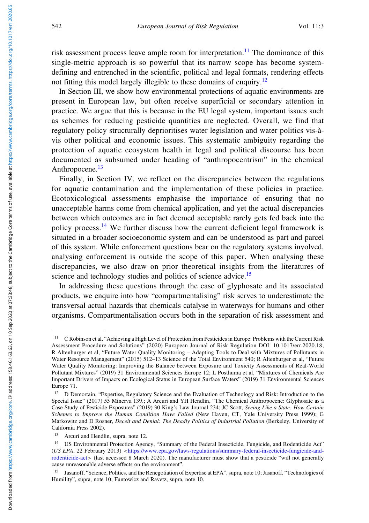risk assessment process leave ample room for interpretation.<sup>11</sup> The dominance of this single-metric approach is so powerful that its narrow scope has become systemdefining and entrenched in the scientific, political and legal formats, rendering effects not fitting this model largely illegible to these domains of enquiry.<sup>12</sup>

In Section III, we show how environmental protections of aquatic environments are present in European law, but often receive superficial or secondary attention in practice. We argue that this is because in the EU legal system, important issues such as schemes for reducing pesticide quantities are neglected. Overall, we find that regulatory policy structurally deprioritises water legislation and water politics vis-àvis other political and economic issues. This systematic ambiguity regarding the protection of aquatic ecosystem health in legal and political discourse has been documented as subsumed under heading of "anthropocentrism" in the chemical Anthropocene.<sup>13</sup>

Finally, in Section IV, we reflect on the discrepancies between the regulations for aquatic contamination and the implementation of these policies in practice. Ecotoxicological assessments emphasise the importance of ensuring that no unacceptable harms come from chemical application, and yet the actual discrepancies between which outcomes are in fact deemed acceptable rarely gets fed back into the policy process.<sup>14</sup> We further discuss how the current deficient legal framework is situated in a broader socioeconomic system and can be understood as part and parcel of this system. While enforcement questions bear on the regulatory systems involved, analysing enforcement is outside the scope of this paper. When analysing these discrepancies, we also draw on prior theoretical insights from the literatures of science and technology studies and politics of science advice.<sup>15</sup>

In addressing these questions through the case of glyphosate and its associated products, we enquire into how "compartmentalising" risk serves to underestimate the transversal actual hazards that chemicals catalyse in waterways for humans and other organisms. Compartmentalisation occurs both in the separation of risk assessment and

<sup>11</sup> C Robinson et al, "Achieving a High Level of Protection from Pesticides in Europe: Problems with the Current Risk Assessment Procedure and Solutions" (2020) European Journal of Risk Regulation DOI: 10.1017/err.2020.18; R Altenburger et al, "Future Water Quality Monitoring – Adapting Tools to Deal with Mixtures of Pollutants in Water Resource Management" (2015) 512–13 Science of the Total Environment 540; R Altenburger et al, "Future Water Quality Monitoring: Improving the Balance between Exposure and Toxicity Assessments of Real-World Pollutant Mixtures" (2019) 31 Environmental Sciences Europe 12; L Posthuma et al, "Mixtures of Chemicals Are Important Drivers of Impacts on Ecological Status in European Surface Waters" (2019) 31 Environmental Sciences Europe 71.

<sup>&</sup>lt;sup>12</sup> D Demortain, "Expertise, Regulatory Science and the Evaluation of Technology and Risk: Introduction to the Special Issue" (2017) 55 Minerva 139.; A Arcuri and YH Hendlin, "The Chemical Anthropocene: Glyphosate as a Case Study of Pesticide Exposures" (2019) 30 King's Law Journal 234; JC Scott, Seeing Like a State: How Certain Schemes to Improve the Human Condition Have Failed (New Haven, CT, Yale University Press 1999); G Markowitz and D Rosner, Deceit and Denial: The Deadly Politics of Industrial Pollution (Berkeley, University of California Press 2002).

<sup>13</sup> Arcuri and Hendlin, supra, note 12.

<sup>&</sup>lt;sup>14</sup> US Environmental Protection Agency, "Summary of the Federal Insecticide, Fungicide, and Rodenticide Act" (US EPA, 22 February 2013) <[https://www.epa.gov/laws-regulations/summary-federal-insecticide-fungicide-and](https://www.epa.gov/laws-regulations/summary-federal-insecticide-fungicide-and-rodenticide-act)[rodenticide-act](https://www.epa.gov/laws-regulations/summary-federal-insecticide-fungicide-and-rodenticide-act)> (last accessed 8 March 2020). The manufacturer must show that a pesticide "will not generally cause unreasonable adverse effects on the environment".

<sup>&</sup>lt;sup>15</sup> Jasanoff, "Science, Politics, and the Renegotiation of Expertise at EPA", supra, note 10; Jasanoff, "Technologies of Humility", supra, note 10; Funtowicz and Ravetz, supra, note 10.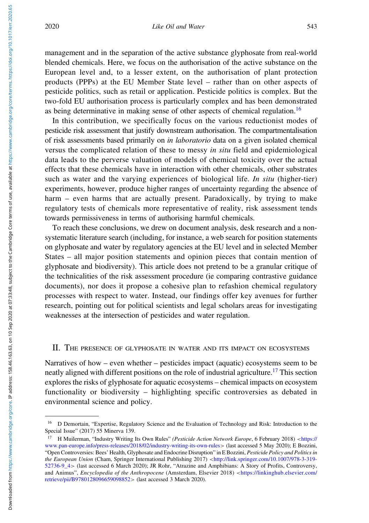management and in the separation of the active substance glyphosate from real-world blended chemicals. Here, we focus on the authorisation of the active substance on the European level and, to a lesser extent, on the authorisation of plant protection products (PPPs) at the EU Member State level – rather than on other aspects of pesticide politics, such as retail or application. Pesticide politics is complex. But the two-fold EU authorisation process is particularly complex and has been demonstrated as being determinative in making sense of other aspects of chemical regulation.<sup>16</sup>

In this contribution, we specifically focus on the various reductionist modes of pesticide risk assessment that justify downstream authorisation. The compartmentalisation of risk assessments based primarily on in laboratorio data on a given isolated chemical versus the complicated relation of these to messy in situ field and epidemiological data leads to the perverse valuation of models of chemical toxicity over the actual effects that these chemicals have in interaction with other chemicals, other substrates such as water and the varying experiences of biological life. In situ (higher-tier) experiments, however, produce higher ranges of uncertainty regarding the absence of harm – even harms that are actually present. Paradoxically, by trying to make regulatory tests of chemicals more representative of reality, risk assessment tends towards permissiveness in terms of authorising harmful chemicals.

To reach these conclusions, we drew on document analysis, desk research and a nonsystematic literature search (including, for instance, a web search for position statements on glyphosate and water by regulatory agencies at the EU level and in selected Member States – all major position statements and opinion pieces that contain mention of glyphosate and biodiversity). This article does not pretend to be a granular critique of the technicalities of the risk assessment procedure (ie comparing contrastive guidance documents), nor does it propose a cohesive plan to refashion chemical regulatory processes with respect to water. Instead, our findings offer key avenues for further research, pointing out for political scientists and legal scholars areas for investigating weaknesses at the intersection of pesticides and water regulation.

#### II. THE PRESENCE OF GLYPHOSATE IN WATER AND ITS IMPACT ON ECOSYSTEMS

Narratives of how – even whether – pesticides impact (aquatic) ecosystems seem to be neatly aligned with different positions on the role of industrial agriculture.<sup>17</sup> This section explores the risks of glyphosate for aquatic ecosystems – chemical impacts on ecosystem functionality or biodiversity – highlighting specific controversies as debated in environmental science and policy.

<sup>&</sup>lt;sup>16</sup> D Demortain, "Expertise, Regulatory Science and the Evaluation of Technology and Risk: Introduction to the Special Issue" (2017) 55 Minerva 139.

<sup>&</sup>lt;sup>17</sup> H Muilerman, "Industry Writing Its Own Rules" (Pesticide Action Network Europe, 6 February 2018) <[https://](https://www.pan-europe.info/press-releases/2018/02/industry-writing-its-own-rules) [www.pan-europe.info/press-releases/2018/02/industry-writing-its-own-rules](https://www.pan-europe.info/press-releases/2018/02/industry-writing-its-own-rules)> (last accessed 5 May 2020); E Bozzini, "Open Controversies: Bees' Health, Glyphosate and Endocrine Disruption" in E Bozzini, Pesticide Policy and Politics in the European Union (Cham, Springer International Publishing 2017) <[http://link.springer.com/10.1007/978-3-319-](http://link.springer.com/10.1007/978-3-319-52736-9_4) [52736-9\\_4](http://link.springer.com/10.1007/978-3-319-52736-9_4)> (last accessed 6 March 2020); JR Rohr, "Atrazine and Amphibians: A Story of Profits, Controversy, and Animus", Encyclopedia of the Anthropocene (Amsterdam, Elsevier 2018) <[https://linkinghub.elsevier.com/](https://linkinghub.elsevier.com/retrieve/pii/B9780128096659098852) [retrieve/pii/B9780128096659098852](https://linkinghub.elsevier.com/retrieve/pii/B9780128096659098852)> (last accessed 3 March 2020).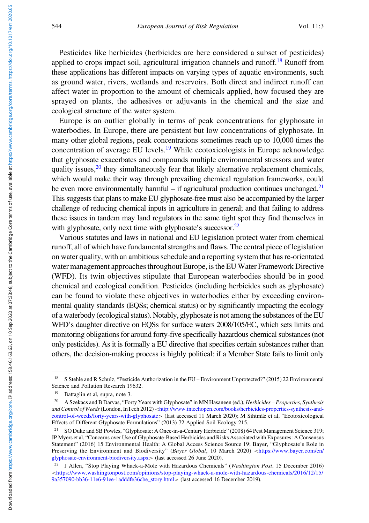Pesticides like herbicides (herbicides are here considered a subset of pesticides) applied to crops impact soil, agricultural irrigation channels and runoff.<sup>18</sup> Runoff from these applications has different impacts on varying types of aquatic environments, such as ground water, rivers, wetlands and reservoirs. Both direct and indirect runoff can affect water in proportion to the amount of chemicals applied, how focused they are sprayed on plants, the adhesives or adjuvants in the chemical and the size and ecological structure of the water system.

Europe is an outlier globally in terms of peak concentrations for glyphosate in waterbodies. In Europe, there are persistent but low concentrations of glyphosate. In many other global regions, peak concentrations sometimes reach up to 10,000 times the concentration of average EU levels.<sup>19</sup> While ecotoxicologists in Europe acknowledge that glyphosate exacerbates and compounds multiple environmental stressors and water quality issues, $20$  they simultaneously fear that likely alternative replacement chemicals, which would make their way through prevailing chemical regulation frameworks, could be even more environmentally harmful – if agricultural production continues unchanged. $21$ This suggests that plans to make EU glyphosate-free must also be accompanied by the larger challenge of reducing chemical inputs in agriculture in general; and that failing to address these issues in tandem may land regulators in the same tight spot they find themselves in with glyphosate, only next time with glyphosate's successor. $^{22}$ 

Various statutes and laws in national and EU legislation protect water from chemical runoff, all of which have fundamental strengths and flaws. The central piece of legislation on water quality, with an ambitious schedule and a reporting system that has re-orientated water management approaches throughout Europe, is the EU Water Framework Directive (WFD). Its twin objectives stipulate that European waterbodies should be in good chemical and ecological condition. Pesticides (including herbicides such as glyphosate) can be found to violate these objectives in waterbodies either by exceeding environmental quality standards (EQSs; chemical status) or by significantly impacting the ecology of a waterbody (ecological status). Notably, glyphosate is not among the substances of the EU WFD's daughter directive on EQSs for surface waters 2008/105/EC, which sets limits and monitoring obligations for around forty-five specifically hazardous chemical substances (not only pesticides). As it is formally a EU directive that specifies certain substances rather than others, the decision-making process is highly political: if a Member State fails to limit only

<sup>&</sup>lt;sup>18</sup> S Stehle and R Schulz, "Pesticide Authorization in the EU – Environment Unprotected?" (2015) 22 Environmental Science and Pollution Research 19632.

<sup>19</sup> Battaglin et al, supra, note 3.

<sup>&</sup>lt;sup>20</sup> A Szekacs and B Darvas, "Forty Years with Glyphosate" in MN Hasaneen (ed.), *Herbicides – Properties*, *Synthesis* and Control of Weeds (London, InTech 2012) <[http://www.intechopen.com/books/herbicides-properties-synthesis-and](http://www.intechopen.com/books/herbicides-properties-synthesis-and-control-of-weeds/forty-years-with-glyphosate)[control-of-weeds/forty-years-with-glyphosate](http://www.intechopen.com/books/herbicides-properties-synthesis-and-control-of-weeds/forty-years-with-glyphosate)> (last accessed 11 March 2020); M Sihtmäe et al, "Ecotoxicological Effects of Different Glyphosate Formulations" (2013) 72 Applied Soil Ecology 215.

<sup>&</sup>lt;sup>21</sup> SO Duke and SB Powles, "Glyphosate: A Once-in-a-Century Herbicide" (2008) 64 Pest Management Science 319; JP Myers et al, "Concerns over Use of Glyphosate-Based Herbicides and Risks Associated with Exposures: A Consensus Statement" (2016) 15 Environmental Health: A Global Access Science Source 19; Bayer, "Glyphosate's Role in Preserving the Environment and Biodiversity" (Bayer Global, 10 March 2020) <[https://www.bayer.com/en/](https://www.bayer.com/en/glyphosate-environment-biodiversity.aspx) [glyphosate-environment-biodiversity.aspx](https://www.bayer.com/en/glyphosate-environment-biodiversity.aspx)> (last accessed 26 June 2020).

<sup>&</sup>lt;sup>22</sup> J Allen, "Stop Playing Whack-a-Mole with Hazardous Chemicals" (Washington Post, 15 December 2016)  $\lt$ [https://www.washingtonpost.com/opinions/stop-playing-whack-a-mole-with-hazardous-chemicals/2016/12/15/](https://www.washingtonpost.com/opinions/stop-playing-whack-a-mole-with-hazardous-chemicals/2016/12/15/9a357090-bb36-11e6-91ee-1adddfe36cbe_story.html) [9a357090-bb36-11e6-91ee-1adddfe36cbe\\_story.html](https://www.washingtonpost.com/opinions/stop-playing-whack-a-mole-with-hazardous-chemicals/2016/12/15/9a357090-bb36-11e6-91ee-1adddfe36cbe_story.html)> (last accessed 16 December 2019).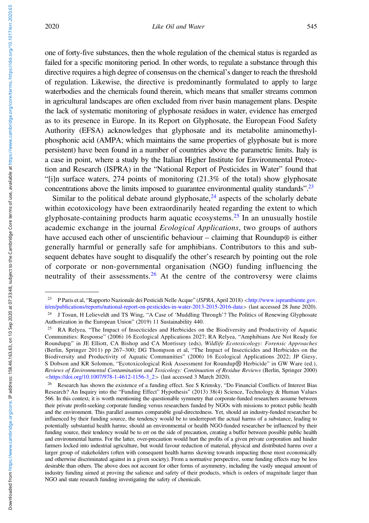one of forty-five substances, then the whole regulation of the chemical status is regarded as failed for a specific monitoring period. In other words, to regulate a substance through this directive requires a high degree of consensus on the chemical's danger to reach the threshold of regulation. Likewise, the directive is predominantly formulated to apply to large waterbodies and the chemicals found therein, which means that smaller streams common in agricultural landscapes are often excluded from river basin management plans. Despite the lack of systematic monitoring of glyphosate residues in water, evidence has emerged as to its presence in Europe. In its Report on Glyphosate, the European Food Safety Authority (EFSA) acknowledges that glyphosate and its metabolite aminomethylphosphonic acid (AMPA; which maintains the same properties of glyphosate but is more persistent) have been found in a number of countries above the parametric limits. Italy is a case in point, where a study by the Italian Higher Institute for Environmental Protection and Research (ISPRA) in the "National Report of Pesticides in Water" found that "[i]n surface waters, 274 points of monitoring (21.3% of the total) show glyphosate concentrations above the limits imposed to guarantee environmental quality standards".<sup>23</sup>

Similar to the political debate around glyphosate, $^{24}$  aspects of the scholarly debate within ecotoxicology have been extraordinarily heated regarding the extent to which glyphosate-containing products harm aquatic ecosystems.<sup>25</sup> In an unusually hostile academic exchange in the journal Ecological Applications, two groups of authors have accused each other of unscientific behaviour – claiming that Roundup® is either generally harmful or generally safe for amphibians. Contributors to this and subsequent debates have sought to disqualify the other's research by pointing out the role of corporate or non-governmental organisation (NGO) funding influencing the neutrality of their assessments.<sup>26</sup> At the centre of the controversy were claims

<sup>&</sup>lt;sup>23</sup> P Paris et al, "Rapporto Nazionale dei Pesticidi Nelle Acque" (ISPRA, April 2018) <[http://www.isprambiente.gov.](http://www.isprambiente.gov.it/en/publications/reports/national-report-on-pesticides-in-water-2013-2015-2016-data) [it/en/publications/reports/national-report-on-pesticides-in-water-2013-2015-2016-data](http://www.isprambiente.gov.it/en/publications/reports/national-report-on-pesticides-in-water-2013-2015-2016-data)> (last accessed 28 June 2020).

<sup>&</sup>lt;sup>24</sup> J Tosun, H Lelieveldt and TS Wing, "A Case of 'Muddling Through'? The Politics of Renewing Glyphosate Authorization in the European Union" (2019) 11 Sustainability 440.

<sup>&</sup>lt;sup>25</sup> RA Relyea, "The Impact of Insecticides and Herbicides on the Biodiversity and Productivity of Aquatic Communities: Response" (2006) 16 Ecological Applications 2027; RA Relyea, "Amphibians Are Not Ready for Roundup®" in JE Elliott, CA Bishop and CA Morrissey (eds), Wildlife Ecotoxicology: Forensic Approaches (Berlin, Springer 2011) pp 267–300; DG Thompson et al, "The Impact of Insecticides and Herbicides on the Biodiversity and Productivity of Aquatic Communities" (2006) 16 Ecological Applications 2022; JP Giesy, S Dobson and KR Solomon, "Ecotoxicological Risk Assessment for Roundup® Herbicide" in GW Ware (ed.), Reviews of Environmental Contamination and Toxicology: Continuation of Residue Reviews (Berlin, Springer 2000) <[https://doi.org/10.1007/978-1-4612-1156-3\\_2](https://doi.org/10.1007/978-1-4612-1156-3_2)> (last accessed 3 March 2020).

<sup>&</sup>lt;sup>26</sup> Research has shown the existence of a funding effect. See S Krimsky, "Do Financial Conflicts of Interest Bias Research? An Inquiry into the "Funding Effect" Hypothesis" (2013) 38(4) Science, Technology & Human Values 566. In this context, it is worth mentioning the questionable symmetry that corporate-funded researchers assume between their private profit-seeking corporate funding versus researchers funded by NGOs with missions to protect public health and the environment. This parallel assumes comparable goal-directedness. Yet, should an industry-funded researcher be influenced by their funding source, the tendency would be to underreport the actual harms of a substance, leading to potentially substantial health harms; should an environmental or health NGO-funded researcher be influenced by their funding source, their tendency would be to err on the side of precaution, creating a buffer between possible public health and environmental harms. For the latter, over-precaution would hurt the profits of a given private corporation and hinder farmers locked into industrial agriculture, but would favour reduction of material, physical and distributed harms over a larger group of stakeholders (often with consequent health harms skewing towards impacting those most economically and otherwise discriminated against in a given society). From a normative perspective, some funding effects may be less desirable than others. The above does not account for other forms of asymmetry, including the vastly unequal amount of industry funding aimed at proving the salience and safety of their products, which is orders of magnitude larger than NGO and state research funding investigating the safety of chemicals.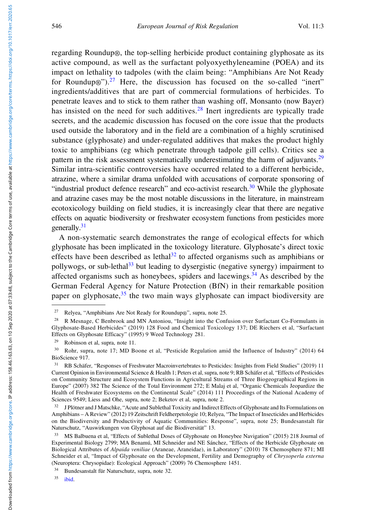regarding Roundup®, the top-selling herbicide product containing glyphosate as its active compound, as well as the surfactant polyoxyethyleneamine (POEA) and its impact on lethality to tadpoles (with the claim being: "Amphibians Are Not Ready for Roundup $\omega$ ").<sup>27</sup> Here, the discussion has focused on the so-called "inert" ingredients/additives that are part of commercial formulations of herbicides. To penetrate leaves and to stick to them rather than washing off, Monsanto (now Bayer) has insisted on the need for such additives.<sup>28</sup> Inert ingredients are typically trade secrets, and the academic discussion has focused on the core issue that the products used outside the laboratory and in the field are a combination of a highly scrutinised substance (glyphosate) and under-regulated additives that makes the product highly toxic to amphibians (eg which penetrate through tadpole gill cells). Critics see a pattern in the risk assessment systematically underestimating the harm of adjuvants.<sup>29</sup> Similar intra-scientific controversies have occurred related to a different herbicide, atrazine, where a similar drama unfolded with accusations of corporate sponsoring of "industrial product defence research" and eco-activist research.<sup>30</sup> While the glyphosate and atrazine cases may be the most notable discussions in the literature, in mainstream ecotoxicology building on field studies, it is increasingly clear that there are negative effects on aquatic biodiversity or freshwater ecosystem functions from pesticides more generally.<sup>31</sup>

A non-systematic search demonstrates the range of ecological effects for which glyphosate has been implicated in the toxicology literature. Glyphosate's direct toxic effects have been described as lethal<sup>32</sup> to affected organisms such as amphibians or pollywogs, or sub-lethal<sup>33</sup> but leading to dysergistic (negative synergy) impairment to affected organisms such as honeybees, spiders and lacewings.<sup>34</sup> As described by the German Federal Agency for Nature Protection (BfN) in their remarkable position paper on glyphosate, $35$  the two main ways glyphosate can impact biodiversity are

<sup>32</sup> J Plötner and J Matschke, "Acute and Sublethal Toxicity and Indirect Effects of Glyphosate and Its Formulations on Amphibians – A Review" (2012) 19 Zeitschrift Feldherpetologie 10; Relyea, "The Impact of Insecticides and Herbicides on the Biodiversity and Productivity of Aquatic Communities: Response", supra, note 25; Bundesanstalt für Naturschutz, "Auswirkungen von Glyphosat auf die Biodiversität" 13.

<sup>33</sup> MS Balbuena et al, "Effects of Sublethal Doses of Glyphosate on Honeybee Navigation" (2015) 218 Journal of Experimental Biology 2799; MA Benamú, MI Schneider and NE Sánchez, "Effects of the Herbicide Glyphosate on Biological Attributes of Alpaida veniliae (Araneae, Araneidae), in Laboratory" (2010) 78 Chemosphere 871; MI Schneider et al, "Impact of Glyphosate on the Development, Fertility and Demography of Chrysoperla externa (Neuroptera: Chrysopidae): Ecological Approach" (2009) 76 Chemosphere 1451.

<sup>35</sup> ibid.

<sup>&</sup>lt;sup>27</sup> Relyea, "Amphibians Are Not Ready for Roundup®", supra, note 25.<br><sup>28</sup> R Mesnage C Benbrook and MN Antoniou "Insight into the Conf

<sup>28</sup> R Mesnage, C Benbrook and MN Antoniou, "Insight into the Confusion over Surfactant Co-Formulants in Glyphosate-Based Herbicides" (2019) 128 Food and Chemical Toxicology 137; DE Riechers et al, "Surfactant Effects on Glyphosate Efficacy" (1995) 9 Weed Technology 281.

 $29$  Robinson et al, supra, note 11.

<sup>&</sup>lt;sup>30</sup> Rohr, supra, note 17; MD Boone et al, "Pesticide Regulation amid the Influence of Industry" (2014) 64 BioScience 917.

<sup>&</sup>lt;sup>31</sup> RB Schäfer, "Responses of Freshwater Macroinvertebrates to Pesticides: Insights from Field Studies" (2019) 11 Current Opinion in Environmental Science & Health 1; Peters et al, supra, note 9; RB Schäfer et al, "Effects of Pesticides on Community Structure and Ecosystem Functions in Agricultural Streams of Three Biogeographical Regions in Europe" (2007) 382 The Science of the Total Environment 272; E Malaj et al, "Organic Chemicals Jeopardize the Health of Freshwater Ecosystems on the Continental Scale" (2014) 111 Proceedings of the National Academy of Sciences 9549; Liess and Ohe, supra, note 2; Beketov et al, supra, note 2.

<sup>34</sup> Bundesanstalt für Naturschutz, supra, note 32.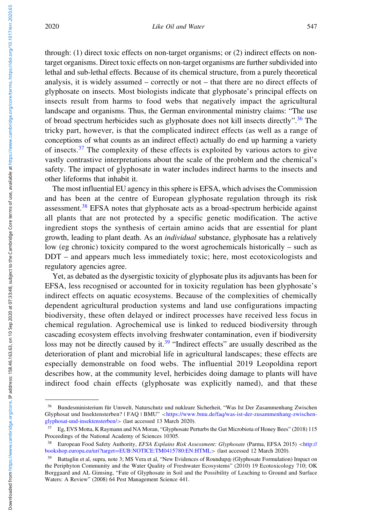Downloaded from https://www.cambridge.org/core. IP address: 158.46163.63, on 10 Sep 2020 at 07:33:48, subject to the Cambridge Core terms of use, available at https://www.cambridge.org/core/terms. https://doi.org/10.1017/e Downloaded from https://www.cambridge.org/core. IP address: 158.46.163.63. On 10 Sep 2020 at 07:33:48, subject to the Cambridge Core terms of use, available at https://www.cambridge.org/toi.org/10.1017/err.2020.65

through: (1) direct toxic effects on non-target organisms; or (2) indirect effects on nontarget organisms. Direct toxic effects on non-target organisms are further subdivided into lethal and sub-lethal effects. Because of its chemical structure, from a purely theoretical analysis, it is widely assumed – correctly or not – that there are no direct effects of glyphosate on insects. Most biologists indicate that glyphosate's principal effects on insects result from harms to food webs that negatively impact the agricultural landscape and organisms. Thus, the German environmental ministry claims: "The use of broad spectrum herbicides such as glyphosate does not kill insects directly".<sup>36</sup> The tricky part, however, is that the complicated indirect effects (as well as a range of conceptions of what counts as an indirect effect) actually do end up harming a variety of insects.<sup>37</sup> The complexity of these effects is exploited by various actors to give vastly contrastive interpretations about the scale of the problem and the chemical's safety. The impact of glyphosate in water includes indirect harms to the insects and other lifeforms that inhabit it.

The most influential EU agency in this sphere is EFSA, which advises the Commission and has been at the centre of European glyphosate regulation through its risk assessment.<sup>38</sup> EFSA notes that glyphosate acts as a broad-spectrum herbicide against all plants that are not protected by a specific genetic modification. The active ingredient stops the synthesis of certain amino acids that are essential for plant growth, leading to plant death. As an individual substance, glyphosate has a relatively low (eg chronic) toxicity compared to the worst agrochemicals historically – such as DDT – and appears much less immediately toxic; here, most ecotoxicologists and regulatory agencies agree.

Yet, as debated as the dysergistic toxicity of glyphosate plus its adjuvants has been for EFSA, less recognised or accounted for in toxicity regulation has been glyphosate's indirect effects on aquatic ecosystems. Because of the complexities of chemically dependent agricultural production systems and land use configurations impacting biodiversity, these often delayed or indirect processes have received less focus in chemical regulation. Agrochemical use is linked to reduced biodiversity through cascading ecosystem effects involving freshwater contamination, even if biodiversity loss may not be directly caused by it. $39$  "Indirect effects" are usually described as the deterioration of plant and microbial life in agricultural landscapes; these effects are especially demonstrable on food webs. The influential 2019 Leopoldina report describes how, at the community level, herbicides doing damage to plants will have indirect food chain effects (glyphosate was explicitly named), and that these

<sup>36</sup> Bundesministerium für Umwelt, Naturschutz und nukleare Sicherheit, "Was Ist Der Zusammenhang Zwischen Glyphosat und Insektensterben? | FAQ | BMU" <[https://www.bmu.de/faq/was-ist-der-zusammenhang-zwischen](https://www.bmu.de/faq/was-ist-der-zusammenhang-zwischen-glyphosat-und-insektensterben/)[glyphosat-und-insektensterben/](https://www.bmu.de/faq/was-ist-der-zusammenhang-zwischen-glyphosat-und-insektensterben/)> (last accessed 13 March 2020).<br><sup>37</sup> Eq. EVS Motta K Raymann and NA Moran, "Glyphosate Pe

<sup>37</sup> Eg, EVS Motta, K Raymann and NA Moran, "Glyphosate Perturbs the Gut Microbiota of Honey Bees" (2018) 115 Proceedings of the National Academy of Sciences 10305.

<sup>&</sup>lt;sup>38</sup> European Food Safety Authority, *EFSA Explains Risk Assessment: Glyphosate* (Parma, EFSA 2015) <[http://](http://bookshop.europa.eu/uri?target%3dEUB:NOTICE:TM0415780:EN:HTML) [bookshop.europa.eu/uri?target](http://bookshop.europa.eu/uri?target%3dEUB:NOTICE:TM0415780:EN:HTML)=[EUB:NOTICE:TM0415780:EN:HTML](http://bookshop.europa.eu/uri?target%3dEUB:NOTICE:TM0415780:EN:HTML)> (last accessed 12 March 2020).

<sup>&</sup>lt;sup>39</sup> Battaglin et al, supra, note 3; MS Vera et al, "New Evidences of Roundup® (Glyphosate Formulation) Impact on the Periphyton Community and the Water Quality of Freshwater Ecosystems" (2010) 19 Ecotoxicology 710; OK Borggaard and AL Gimsing, "Fate of Glyphosate in Soil and the Possibility of Leaching to Ground and Surface Waters: A Review" (2008) 64 Pest Management Science 441.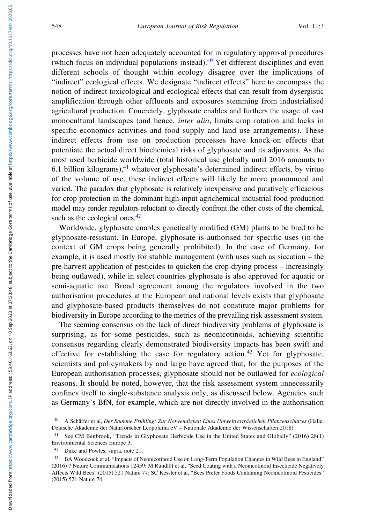processes have not been adequately accounted for in regulatory approval procedures (which focus on individual populations instead).  $40$  Yet different disciplines and even different schools of thought within ecology disagree over the implications of "indirect" ecological effects. We designate "indirect effects" here to encompass the notion of indirect toxicological and ecological effects that can result from dysergistic amplification through other effluents and exposures stemming from industrialised agricultural production. Concretely, glyphosate enables and furthers the usage of vast monocultural landscapes (and hence, *inter alia*, limits crop rotation and locks in specific economics activities and food supply and land use arrangements). These indirect effects from use on production processes have knock-on effects that potentiate the actual direct biochemical risks of glyphosate and its adjuvants. As the most used herbicide worldwide (total historical use globally until 2016 amounts to 6.1 billion kilograms), $^{41}$  whatever glyphosate's determined indirect effects, by virtue of the volume of use, these indirect effects will likely be more pronounced and varied. The paradox that glyphosate is relatively inexpensive and putatively efficacious for crop protection in the dominant high-input agrichemical industrial food production model may render regulators reluctant to directly confront the other costs of the chemical, such as the ecological ones. $42$ 

Worldwide, glyphosate enables genetically modified (GM) plants to be bred to be glyphosate-resistant. In Europe, glyphosate is authorised for specific uses (in the context of GM crops being generally prohibited). In the case of Germany, for example, it is used mostly for stubble management (with uses such as siccation – the pre-harvest application of pesticides to quicken the crop-drying process – increasingly being outlawed), while in select countries glyphosate is also approved for aquatic or semi-aquatic use. Broad agreement among the regulators involved in the two authorisation procedures at the European and national levels exists that glyphosate and glyphosate-based products themselves do not constitute major problems for biodiversity in Europe according to the metrics of the prevailing risk assessment system.

The seeming consensus on the lack of direct biodiversity problems of glyphosate is surprising, as for some pesticides, such as neonicotinoids, achieving scientific consensus regarding clearly demonstrated biodiversity impacts has been swift and effective for establishing the case for regulatory action.<sup>43</sup> Yet for glyphosate, scientists and policymakers by and large have agreed that, for the purposes of the European authorisation processes, glyphosate should not be outlawed for ecological reasons. It should be noted, however, that the risk assessment system unnecessarily confines itself to single-substance analysis only, as discussed below. Agencies such as Germany's BfN, for example, which are not directly involved in the authorisation

<sup>40</sup> A Schäffer et al, Der Stumme Frühling: Zur Notwendigkeit Eines Umweltverträglichen Pflanzenschutzes (Halle, Deutsche Akademie der Naturforscher Leopoldina eV – Nationale Akademie der Wissenschaften 2018).

<sup>41</sup> See CM Benbrook, "Trends in Glyphosate Herbicide Use in the United States and Globally" (2016) 28(1) Environmental Sciences Europe 3.

<sup>42</sup> Duke and Powles, supra, note 21.

<sup>43</sup> BA Woodcock et al, "Impacts of Neonicotinoid Use on Long-Term Population Changes in Wild Bees in England" (2016) 7 Nature Communications 12459; M Rundlöf et al, "Seed Coating with a Neonicotinoid Insecticide Negatively Affects Wild Bees" (2015) 521 Nature 77; SC Kessler et al, "Bees Prefer Foods Containing Neonicotinoid Pesticides" (2015) 521 Nature 74.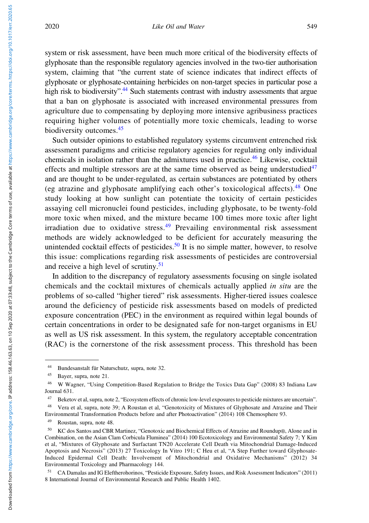system or risk assessment, have been much more critical of the biodiversity effects of glyphosate than the responsible regulatory agencies involved in the two-tier authorisation system, claiming that "the current state of science indicates that indirect effects of glyphosate or glyphosate-containing herbicides on non-target species in particular pose a high risk to biodiversity".<sup>44</sup> Such statements contrast with industry assessments that argue that a ban on glyphosate is associated with increased environmental pressures from agriculture due to compensating by deploying more intensive agribusiness practices requiring higher volumes of potentially more toxic chemicals, leading to worse biodiversity outcomes.<sup>45</sup>

Such outsider opinions to established regulatory systems circumvent entrenched risk assessment paradigms and criticise regulatory agencies for regulating only individual chemicals in isolation rather than the admixtures used in practice.<sup>46</sup> Likewise, cocktail effects and multiple stressors are at the same time observed as being understudied<sup>47</sup> and are thought to be under-regulated, as certain substances are potentiated by others (eg atrazine and glyphosate amplifying each other's toxicological affects). $48$  One study looking at how sunlight can potentiate the toxicity of certain pesticides assaying cell micronuclei found pesticides, including glyphosate, to be twenty-fold more toxic when mixed, and the mixture became 100 times more toxic after light irradiation due to oxidative stress.  $49$  Prevailing environmental risk assessment methods are widely acknowledged to be deficient for accurately measuring the unintended cocktail effects of pesticides.<sup>50</sup> It is no simple matter, however, to resolve this issue: complications regarding risk assessments of pesticides are controversial and receive a high level of scrutiny.<sup>51</sup>

In addition to the discrepancy of regulatory assessments focusing on single isolated chemicals and the cocktail mixtures of chemicals actually applied in situ are the problems of so-called "higher tiered" risk assessments. Higher-tiered issues coalesce around the deficiency of pesticide risk assessments based on models of predicted exposure concentration (PEC) in the environment as required within legal bounds of certain concentrations in order to be designated safe for non-target organisms in EU as well as US risk assessment. In this system, the regulatory acceptable concentration (RAC) is the cornerstone of the risk assessment process. This threshold has been

<sup>44</sup> Bundesanstalt für Naturschutz, supra, note 32.

<sup>45</sup> Bayer, supra, note 21.

<sup>46</sup> W Wagner, "Using Competition-Based Regulation to Bridge the Toxics Data Gap" (2008) 83 Indiana Law Journal 631.

<sup>47</sup> Beketov et al, supra, note 2, "Ecosystem effects of chronic low-level exposures to pesticide mixtures are uncertain".

<sup>48</sup> Vera et al, supra, note 39; A Roustan et al, "Genotoxicity of Mixtures of Glyphosate and Atrazine and Their Environmental Transformation Products before and after Photoactivation" (2014) 108 Chemosphere 93.

<sup>49</sup> Roustan, supra, note 48.

<sup>&</sup>lt;sup>50</sup> KC dos Santos and CBR Martinez, "Genotoxic and Biochemical Effects of Atrazine and Roundup®, Alone and in Combination, on the Asian Clam Corbicula Fluminea" (2014) 100 Ecotoxicology and Environmental Safety 7; Y Kim et al, "Mixtures of Glyphosate and Surfactant TN20 Accelerate Cell Death via Mitochondrial Damage-Induced Apoptosis and Necrosis" (2013) 27 Toxicology In Vitro 191; C Heu et al, "A Step Further toward Glyphosate-Induced Epidermal Cell Death: Involvement of Mitochondrial and Oxidative Mechanisms" (2012) 34 Environmental Toxicology and Pharmacology 144.

<sup>51</sup> CA Damalas and IG Eleftherohorinos, "Pesticide Exposure, Safety Issues, and Risk Assessment Indicators" (2011) 8 International Journal of Environmental Research and Public Health 1402.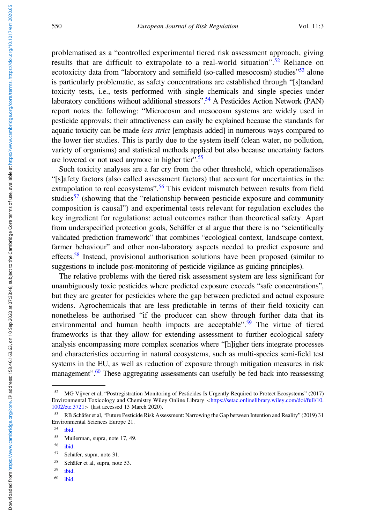<span id="page-11-0"></span>problematised as a "controlled experimental tiered risk assessment approach, giving results that are difficult to extrapolate to a real-world situation".<sup>52</sup> Reliance on ecotoxicity data from "laboratory and semifield (so-called mesocosm) studies<sup>"53</sup> alone is particularly problematic, as safety concentrations are established through "[s]tandard toxicity tests, i.e., tests performed with single chemicals and single species under laboratory conditions without additional stressors".<sup>54</sup> A Pesticides Action Network (PAN) report notes the following: "Microcosm and mesocosm systems are widely used in pesticide approvals; their attractiveness can easily be explained because the standards for aquatic toxicity can be made *less strict* [emphasis added] in numerous ways compared to the lower tier studies. This is partly due to the system itself (clean water, no pollution, variety of organisms) and statistical methods applied but also because uncertainty factors are lowered or not used anymore in higher tier". 55

Such toxicity analyses are a far cry from the other threshold, which operationalises "[s]afety factors (also called assessment factors) that account for uncertainties in the extrapolation to real ecosystems".<sup>56</sup> This evident mismatch between results from field studies<sup>57</sup> (showing that the "relationship between pesticide exposure and community composition is causal") and experimental tests relevant for regulation excludes the key ingredient for regulations: actual outcomes rather than theoretical safety. Apart from underspecified protection goals, Schäffer et al argue that there is no "scientifically validated prediction framework" that combines "ecological context, landscape context, farmer behaviour" and other non-laboratory aspects needed to predict exposure and effects.<sup>58</sup> Instead, provisional authorisation solutions have been proposed (similar to suggestions to include post-monitoring of pesticide vigilance as guiding principles).

The relative problems with the tiered risk assessment system are less significant for unambiguously toxic pesticides where predicted exposure exceeds "safe concentrations", but they are greater for pesticides where the gap between predicted and actual exposure widens. Agrochemicals that are less predictable in terms of their field toxicity can nonetheless be authorised "if the producer can show through further data that its environmental and human health impacts are acceptable".<sup>59</sup> The virtue of tiered frameworks is that they allow for extending assessment to further ecological safety analysis encompassing more complex scenarios where "[h]igher tiers integrate processes and characteristics occurring in natural ecosystems, such as multi-species semi-field test systems in the EU, as well as reduction of exposure through mitigation measures in risk management".<sup>60</sup> These aggregating assessments can usefully be fed back into reassessing

 $60$  ibid.

<sup>52</sup> MG Vijver et al, "Postregistration Monitoring of Pesticides Is Urgently Required to Protect Ecosystems" (2017) Environmental Toxicology and Chemistry Wiley Online Library <[https://setac.onlinelibrary.wiley.com/doi/full/10.](https://setac.onlinelibrary.wiley.com/doi/full/10.1002/etc.3721) [1002/etc.3721](https://setac.onlinelibrary.wiley.com/doi/full/10.1002/etc.3721)> (last accessed 13 March 2020).

<sup>53</sup> RB Schäfer et al, "Future Pesticide Risk Assessment: Narrowing the Gap between Intention and Reality" (2019) 31 Environmental Sciences Europe 21.

<sup>54</sup> ibid.

<sup>55</sup> Muilerman, supra, note 17, 49.

<sup>56</sup> ibid.

<sup>57</sup> Schäfer, supra, note 31.

<sup>58</sup> Schäfer et al, supra, note 53.

<sup>59</sup> ibid.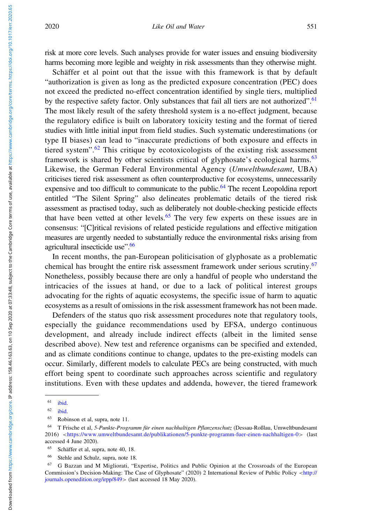risk at more core levels. Such analyses provide for water issues and ensuing biodiversity harms becoming more legible and weighty in risk assessments than they otherwise might.

Schäffer et al point out that the issue with this framework is that by default "authorization is given as long as the predicted exposure concentration (PEC) does not exceed the predicted no-effect concentration identified by single tiers, multiplied by the respective safety factor. Only substances that fail all tiers are not authorized".<sup>61</sup> The most likely result of the safety threshold system is a no-effect judgment, because the regulatory edifice is built on laboratory toxicity testing and the format of tiered studies with little initial input from field studies. Such systematic underestimations (or type II biases) can lead to "inaccurate predictions of both exposure and effects in tiered system".<sup>62</sup> This critique by ecotoxicologists of the existing risk assessment framework is shared by other scientists critical of glyphosate's ecological harms. $63$ Likewise, the German Federal Environmental Agency (Umweltbundesamt, UBA) criticises tiered risk assessment as often counterproductive for ecosystems, unnecessarily expensive and too difficult to communicate to the public.<sup>64</sup> The recent Leopoldina report entitled "The Silent Spring" also delineates problematic details of the tiered risk assessment as practised today, such as deliberately not double-checking pesticide effects that have been vetted at other levels.<sup>65</sup> The very few experts on these issues are in consensus: "[C]ritical revisions of related pesticide regulations and effective mitigation measures are urgently needed to substantially reduce the environmental risks arising from agricultural insecticide use". 66

In recent months, the pan-European politicisation of glyphosate as a problematic chemical has brought the entire risk assessment framework under serious scrutiny.<sup>67</sup> Nonetheless, possibly because there are only a handful of people who understand the intricacies of the issues at hand, or due to a lack of political interest groups advocating for the rights of aquatic ecosystems, the specific issue of harm to aquatic ecosystems as a result of omissions in the risk assessment framework has not been made.

Defenders of the status quo risk assessment procedures note that regulatory tools, especially the guidance recommendations used by EFSA, undergo continuous development, and already include indirect effects (albeit in the limited sense described above). New test and reference organisms can be specified and extended, and as climate conditions continue to change, updates to the pre-existing models can occur. Similarly, different models to calculate PECs are being constructed, with much effort being spent to coordinate such approaches across scientific and regulatory institutions. Even with these updates and addenda, however, the tiered framework

Downloaded from https://www.cambridge.org/core. IP address: 158.46163.63, on 10 Sep 2020 at 07:33:48, subject to the Cambridge Core terms of use, available at https://www.cambridge.org/core/terms. https://doi.org/10.1017/e Downloaded from https://www.cambridge.org/core. IP address: 158.46.163.63. On 10 Sep 2020 at 07:33:48, subject to the Cambridge Core terms of use, available at https://www.cambridge.org/toi.org/10.1017/err.2020.65

 $61$  [ibid](#page-11-0).<br> $62$  ibid.

ibid.

<sup>&</sup>lt;sup>63</sup> Robinson et al, supra, note 11.<br><sup>64</sup> T Frische et al. 5-*Punkte*-Progr

<sup>64</sup> T Frische et al, 5-Punkte-Programm für einen nachhaltigen Pflanzenschutz (Dessau-Roßlau, Umweltbundesamt 2016) <<https://www.umweltbundesamt.de/publikationen/5-punkte-programm-fuer-einen-nachhaltigen-0>> (last accessed 4 June 2020).

<sup>65</sup> Schäffer et al, supra, note 40, 18.

<sup>66</sup> Stehle and Schulz, supra, note 18.

<sup>67</sup> G Bazzan and M Migliorati, "Expertise, Politics and Public Opinion at the Crossroads of the European Commission's Decision-Making: The Case of Glyphosate" (2020) 2 International Review of Public Policy <[http://](http://journals.openedition.org/irpp/849) [journals.openedition.org/irpp/849](http://journals.openedition.org/irpp/849)> (last accessed 18 May 2020).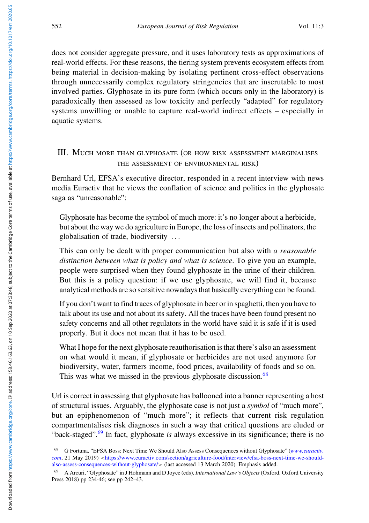does not consider aggregate pressure, and it uses laboratory tests as approximations of real-world effects. For these reasons, the tiering system prevents ecosystem effects from being material in decision-making by isolating pertinent cross-effect observations through unnecessarily complex regulatory stringencies that are inscrutable to most involved parties. Glyphosate in its pure form (which occurs only in the laboratory) is paradoxically then assessed as low toxicity and perfectly "adapted" for regulatory systems unwilling or unable to capture real-world indirect effects – especially in aquatic systems.

# III. MUCH MORE THAN GLYPHOSATE (OR HOW RISK ASSESSMENT MARGINALISES THE ASSESSMENT OF ENVIRONMENTAL RISK)

Bernhard Url, EFSA's executive director, responded in a recent interview with news media Euractiv that he views the conflation of science and politics in the glyphosate saga as "unreasonable":

Glyphosate has become the symbol of much more: it's no longer about a herbicide, but about the way we do agriculture in Europe, the loss of insects and pollinators, the globalisation of trade, biodiversity ...

This can only be dealt with proper communication but also with *a reasonable* distinction between what is policy and what is science. To give you an example, people were surprised when they found glyphosate in the urine of their children. But this is a policy question: if we use glyphosate, we will find it, because analytical methods are so sensitive nowadays that basically everything can be found.

If you don't want to find traces of glyphosate in beer or in spaghetti, then you have to talk about its use and not about its safety. All the traces have been found present no safety concerns and all other regulators in the world have said it is safe if it is used properly. But it does not mean that it has to be used.

What I hope for the next glyphosate reauthorisation is that there's also an assessment on what would it mean, if glyphosate or herbicides are not used anymore for biodiversity, water, farmers income, food prices, availability of foods and so on. This was what we missed in the previous glyphosate discussion.<sup>68</sup>

Url is correct in assessing that glyphosate has ballooned into a banner representing a host of structural issues. Arguably, the glyphosate case is not just a symbol of "much more", but an epiphenomenon of "much more"; it reflects that current risk regulation compartmentalises risk diagnoses in such a way that critical questions are eluded or "back-staged". $69$  In fact, glyphosate is always excessive in its significance; there is no

<sup>&</sup>lt;sup>68</sup> G Fortuna, "EFSA Boss: Next Time We Should Also Assess Consequences without Glyphosate" ([www.euractiv.](http://www.euractiv.com) [com](http://www.euractiv.com), 21 May 2019) <[https://www.euractiv.com/section/agriculture-food/interview/efsa-boss-next-time-we-should](https://www.euractiv.com/section/agriculture-food/interview/efsa-boss-next-time-we-should-also-assess-consequences-without-glyphosate/)[also-assess-consequences-without-glyphosate/](https://www.euractiv.com/section/agriculture-food/interview/efsa-boss-next-time-we-should-also-assess-consequences-without-glyphosate/)> (last accessed 13 March 2020). Emphasis added.

 $^{69}$  A Arcuri, "Glyphosate" in J Hohmann and D Joyce (eds), *International Law's Objects* (Oxford, Oxford University Press 2018) pp 234-46; see pp 242–43.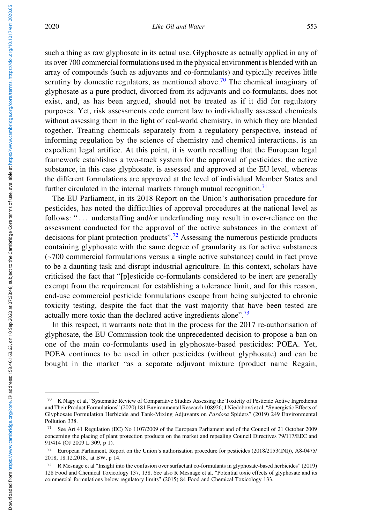Downloaded from https://www.cambridge.org/core. IP address: 158.46.163.63, on 10 Sep 2020 at 07:33:48, subject to the Cambridge Core terms of use, available at https://www.cambridge.org/core/terms. https://doi.org/10.1017/ Downloaded from https://www.cambridge.org/core. IP address: 158.46.163.63. On 10 Sep 2020 at 07:33:48, subject to the Cambridge Core terms of use, available at https://www.cambridge.org/toi.org/10.1017/err.2020.65

such a thing as raw glyphosate in its actual use. Glyphosate as actually applied in any of its over 700 commercial formulations used in the physical environment is blended with an array of compounds (such as adjuvants and co-formulants) and typically receives little scrutiny by domestic regulators, as mentioned above.<sup>70</sup> The chemical imaginary of glyphosate as a pure product, divorced from its adjuvants and co-formulants, does not exist, and, as has been argued, should not be treated as if it did for regulatory purposes. Yet, risk assessments code current law to individually assessed chemicals without assessing them in the light of real-world chemistry, in which they are blended together. Treating chemicals separately from a regulatory perspective, instead of informing regulation by the science of chemistry and chemical interactions, is an expedient legal artifice. At this point, it is worth recalling that the European legal framework establishes a two-track system for the approval of pesticides: the active substance, in this case glyphosate, is assessed and approved at the EU level, whereas the different formulations are approved at the level of individual Member States and further circulated in the internal markets through mutual recognition.<sup>71</sup>

The EU Parliament, in its 2018 Report on the Union's authorisation procedure for pesticides, has noted the difficulties of approval procedures at the national level as follows: "... understaffing and/or underfunding may result in over-reliance on the assessment conducted for the approval of the active substances in the context of decisions for plant protection products".<sup>72</sup> Assessing the numerous pesticide products containing glyphosate with the same degree of granularity as for active substances (~700 commercial formulations versus a single active substance) could in fact prove to be a daunting task and disrupt industrial agriculture. In this context, scholars have criticised the fact that "[p]esticide co-formulants considered to be inert are generally exempt from the requirement for establishing a tolerance limit, and for this reason, end-use commercial pesticide formulations escape from being subjected to chronic toxicity testing, despite the fact that the vast majority that have been tested are actually more toxic than the declared active ingredients alone".<sup>73</sup>

In this respect, it warrants note that in the process for the 2017 re-authorisation of glyphosate, the EU Commission took the unprecedented decision to propose a ban on one of the main co-formulants used in glyphosate-based pesticides: POEA. Yet, POEA continues to be used in other pesticides (without glyphosate) and can be bought in the market "as a separate adjuvant mixture (product name Regain,

<sup>&</sup>lt;sup>70</sup> K Nagy et al, "Systematic Review of Comparative Studies Assessing the Toxicity of Pesticide Active Ingredients and Their Product Formulations" (2020) 181 Environmental Research 108926; J Niedobová et al, "Synergistic Effects of Glyphosate Formulation Herbicide and Tank-Mixing Adjuvants on Pardosa Spiders" (2019) 249 Environmental Pollution 338.

<sup>71</sup> See Art 41 Regulation (EC) No 1107/2009 of the European Parliament and of the Council of 21 October 2009 concerning the placing of plant protection products on the market and repealing Council Directives 79/117/EEC and 91/414 (OJ 2009 L 309, p 1).

<sup>72</sup> European Parliament, Report on the Union's authorisation procedure for pesticides (2018/2153(INI)), A8-0475/ 2018, 18.12.2018., at BW, p 14.

<sup>73</sup> R Mesnage et al "Insight into the confusion over surfactant co-formulants in glyphosate-based herbicides" (2019) 128 Food and Chemical Toxicology 137, 138. See also R Mesnage et al, "Potential toxic effects of glyphosate and its commercial formulations below regulatory limits" (2015) 84 Food and Chemical Toxicology 133.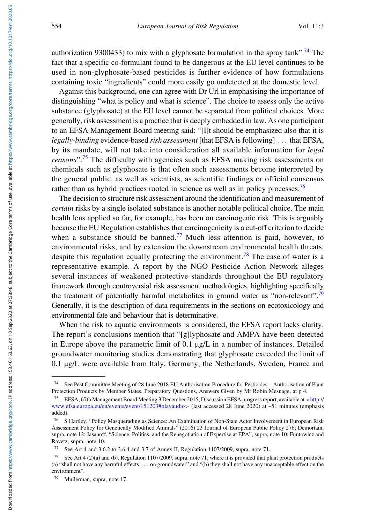authorization 9300433) to mix with a glyphosate formulation in the spray tank".<sup>74</sup> The fact that a specific co-formulant found to be dangerous at the EU level continues to be used in non-glyphosate-based pesticides is further evidence of how formulations containing toxic "ingredients" could more easily go undetected at the domestic level.

Against this background, one can agree with Dr Url in emphasising the importance of distinguishing "what is policy and what is science". The choice to assess only the active substance (glyphosate) at the EU level cannot be separated from political choices. More generally, risk assessment is a practice that is deeply embedded in law. As one participant to an EFSA Management Board meeting said: "[I]t should be emphasized also that it is legally-binding evidence-based risk assessment [that EFSA is following] ... that EFSA, by its mandate, will not take into consideration all available information for *legal* reasons".<sup>75</sup> The difficulty with agencies such as EFSA making risk assessments on chemicals such as glyphosate is that often such assessments become interpreted by the general public, as well as scientists, as scientific findings or official consensus rather than as hybrid practices rooted in science as well as in policy processes.<sup>76</sup>

The decision to structure risk assessment around the identification and measurement of certain risks by a single isolated substance is another notable political choice. The main health lens applied so far, for example, has been on carcinogenic risk. This is arguably because the EU Regulation establishes that carcinogenicity is a cut-off criterion to decide when a substance should be banned.<sup>77</sup> Much less attention is paid, however, to environmental risks, and by extension the downstream environmental health threats, despite this regulation equally protecting the environment.<sup>78</sup> The case of water is a representative example. A report by the NGO Pesticide Action Network alleges several instances of weakened protective standards throughout the EU regulatory framework through controversial risk assessment methodologies, highlighting specifically the treatment of potentially harmful metabolites in ground water as "non-relevant".<sup>79</sup> Generally, it is the description of data requirements in the sections on ecotoxicology and environmental fate and behaviour that is determinative.

When the risk to aquatic environments is considered, the EFSA report lacks clarity. The report's conclusions mention that "[g]lyphosate and AMPA have been detected in Europe above the parametric limit of 0.1  $\mu$ g/L in a number of instances. Detailed groundwater monitoring studies demonstrating that glyphosate exceeded the limit of 0.1 μg/L were available from Italy, Germany, the Netherlands, Sweden, France and

<sup>74</sup> See Pest Committee Meeting of 28 June 2018 EU Authorisation Procedure for Pesticides – Authorisation of Plant Protection Products by Member States. Preparatory Questions, Answers Given by Mr Robin Mesnage, at p 4.

<sup>75</sup> EFSA, 67th Management Board Meeting 3 December 2015, Discussion EFSA progress report, available at <[http://](http://www.efsa.europa.eu/en/events/event/151203#playaudio) [www.efsa.europa.eu/en/events/event/151203#playaudio](http://www.efsa.europa.eu/en/events/event/151203#playaudio)> (last accessed 28 June 2020) at ~51 minutes (emphasis added).

<sup>76</sup> S Hartley, "Policy Masquerading as Science: An Examination of Non-State Actor Involvement in European Risk Assessment Policy for Genetically Modified Animals" (2016) 23 Journal of European Public Policy 276; Demortain, supra, note 12; Jasanoff, "Science, Politics, and the Renegotiation of Expertise at EPA", supra, note 10; Funtowicz and Ravetz, supra, note 10.

<sup>77</sup> See Art 4 and 3.6.2 to 3.6.4 and 3.7 of Annex II, Regulation 1107/2009, supra, note 71.

<sup>&</sup>lt;sup>78</sup> See Art 4 (2)(a) and (b), Regulation 1107/2009, supra, note 71, where it is provided that plant protection products (a) "shall not have any harmful effects ... on groundwater" and "(b) they shall not have any unacceptable effect on the environment".

<sup>79</sup> Muilerman, supra, note 17.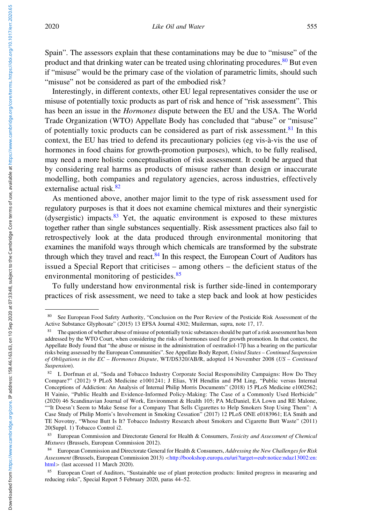Spain". The assessors explain that these contaminations may be due to "misuse" of the product and that drinking water can be treated using chlorinating procedures.<sup>80</sup> But even if "misuse" would be the primary case of the violation of parametric limits, should such "misuse" not be considered as part of the embodied risk?

Interestingly, in different contexts, other EU legal representatives consider the use or misuse of potentially toxic products as part of risk and hence of "risk assessment". This has been an issue in the Hormones dispute between the EU and the USA. The World Trade Organization (WTO) Appellate Body has concluded that "abuse" or "misuse" of potentially toxic products can be considered as part of risk assessment.<sup>81</sup> In this context, the EU has tried to defend its precautionary policies (eg vis-à-vis the use of hormones in food chains for growth-promotion purposes), which, to be fully realised, may need a more holistic conceptualisation of risk assessment. It could be argued that by considering real harms as products of misuse rather than design or inaccurate modelling, both companies and regulatory agencies, across industries, effectively externalise actual risk.<sup>82</sup>

As mentioned above, another major limit to the type of risk assessment used for regulatory purposes is that it does not examine chemical mixtures and their synergistic (dysergistic) impacts. $83$  Yet, the aquatic environment is exposed to these mixtures together rather than single substances sequentially. Risk assessment practices also fail to retrospectively look at the data produced through environmental monitoring that examines the manifold ways through which chemicals are transformed by the substrate through which they travel and react. $84$  In this respect, the European Court of Auditors has issued a Special Report that criticises – among others – the deficient status of the environmental monitoring of pesticides.<sup>85</sup>

To fully understand how environmental risk is further side-lined in contemporary practices of risk assessment, we need to take a step back and look at how pesticides

<sup>&</sup>lt;sup>80</sup> See European Food Safety Authority, "Conclusion on the Peer Review of the Pesticide Risk Assessment of the Active Substance Glyphosate" (2015) 13 EFSA Journal 4302; Muilerman, supra, note 17, 17.

<sup>&</sup>lt;sup>81</sup> The question of whether abuse of misuse of potentially toxic substances should be part of a risk assessment has been addressed by the WTO Court, when considering the risks of hormones used for growth promotion. In that context, the Appellate Body found that "the abuse or misuse in the administration of oestradiol-17β has a bearing on the particular risks being assessed by the European Communities". See Appellate Body Report, United States – Continued Suspension of Obligations in the EC – Hormones Dispute, WT/DS320/AB/R, adopted 14 November 2008 (US – Continued Suspension).

<sup>82</sup> L Dorfman et al, "Soda and Tobacco Industry Corporate Social Responsibility Campaigns: How Do They Compare?" (2012) 9 PLoS Medicine e1001241; J Elias, YH Hendlin and PM Ling, "Public versus Internal Conceptions of Addiction: An Analysis of Internal Philip Morris Documents" (2018) 15 PLoS Medicine e1002562; H Vainio, "Public Health and Evidence-Informed Policy-Making: The Case of a Commonly Used Herbicide" (2020) 46 Scandinavian Journal of Work, Environment & Health 105; PA McDaniel, EA Lown and RE Malone, ""It Doesn't Seem to Make Sense for a Company That Sells Cigarettes to Help Smokers Stop Using Them": A Case Study of Philip Morris's Involvement in Smoking Cessation" (2017) 12 PLoS ONE e0183961; EA Smith and TE Novotny, "Whose Butt Is It? Tobacco Industry Research about Smokers and Cigarette Butt Waste" (2011)  $20(Suppl. 1)$  Tobacco Control i2.

European Commission and Directorate General for Health & Consumers, Toxicity and Assessment of Chemical Mixtures (Brussels, European Commission 2012).

<sup>&</sup>lt;sup>84</sup> European Commission and Directorate General for Health & Consumers, Addressing the New Challenges for Risk Assessment (Brussels, European Commission 2013) <[http://bookshop.europa.eu/uri?target](http://bookshop.europa.eu/uri?target%3deub:notice:ndaz13002:en:html)=[eub:notice:ndaz13002:en:](http://bookshop.europa.eu/uri?target%3deub:notice:ndaz13002:en:html) [html](http://bookshop.europa.eu/uri?target%3deub:notice:ndaz13002:en:html)> (last accessed 11 March 2020).

<sup>&</sup>lt;sup>85</sup> European Court of Auditors, "Sustainable use of plant protection products: limited progress in measuring and reducing risks", Special Report 5 February 2020, paras 44–52.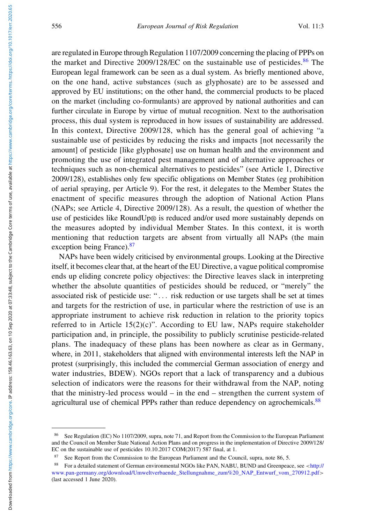are regulated in Europe through Regulation 1107/2009 concerning the placing of PPPs on the market and Directive 2009/128/EC on the sustainable use of pesticides.<sup>86</sup> The European legal framework can be seen as a dual system. As briefly mentioned above, on the one hand, active substances (such as glyphosate) are to be assessed and approved by EU institutions; on the other hand, the commercial products to be placed on the market (including co-formulants) are approved by national authorities and can further circulate in Europe by virtue of mutual recognition. Next to the authorisation process, this dual system is reproduced in how issues of sustainability are addressed. In this context, Directive 2009/128, which has the general goal of achieving "a sustainable use of pesticides by reducing the risks and impacts [not necessarily the amount] of pesticide [like glyphosate] use on human health and the environment and promoting the use of integrated pest management and of alternative approaches or techniques such as non-chemical alternatives to pesticides" (see Article 1, Directive 2009/128), establishes only few specific obligations on Member States (eg prohibition of aerial spraying, per Article 9). For the rest, it delegates to the Member States the enactment of specific measures through the adoption of National Action Plans (NAPs; see Article 4, Directive 2009/128). As a result, the question of whether the use of pesticides like RoundUp® is reduced and/or used more sustainably depends on the measures adopted by individual Member States. In this context, it is worth mentioning that reduction targets are absent from virtually all NAPs (the main exception being France).<sup>87</sup>

NAPs have been widely criticised by environmental groups. Looking at the Directive itself, it becomes clear that, at the heart of the EU Directive, a vague political compromise ends up eliding concrete policy objectives: the Directive leaves slack in interpreting whether the absolute quantities of pesticides should be reduced, or "merely" the associated risk of pesticide use: "... risk reduction or use targets shall be set at times and targets for the restriction of use, in particular where the restriction of use is an appropriate instrument to achieve risk reduction in relation to the priority topics referred to in Article  $15(2)(c)$ ". According to EU law, NAPs require stakeholder participation and, in principle, the possibility to publicly scrutinise pesticide-related plans. The inadequacy of these plans has been nowhere as clear as in Germany, where, in 2011, stakeholders that aligned with environmental interests left the NAP in protest (surprisingly, this included the commercial German association of energy and water industries, BDEW). NGOs report that a lack of transparency and a dubious selection of indicators were the reasons for their withdrawal from the NAP, noting that the ministry-led process would – in the end – strengthen the current system of agricultural use of chemical PPPs rather than reduce dependency on agrochemicals.<sup>88</sup>

<sup>86</sup> See Regulation (EC) No 1107/2009, supra, note 71, and Report from the Commission to the European Parliament and the Council on Member State National Action Plans and on progress in the implementation of Directive 2009/128/ EC on the sustainable use of pesticides 10.10.2017 COM(2017) 587 final, at 1.

See Report from the Commission to the European Parliament and the Council, supra, note 86, 5.

<sup>88</sup> For a detailed statement of German environmental NGOs like PAN, NABU, BUND and Greenpeace, see <[http://](http://www.pan-germany.org/download/Umweltverbaende_Stellungnahme_zum%20_NAP_Entwurf_vom_270912.pdf) [www.pan-germany.org/download/Umweltverbaende\\_Stellungnahme\\_zum%20\\_NAP\\_Entwurf\\_vom\\_270912.pdf](http://www.pan-germany.org/download/Umweltverbaende_Stellungnahme_zum%20_NAP_Entwurf_vom_270912.pdf)> (last accessed 1 June 2020).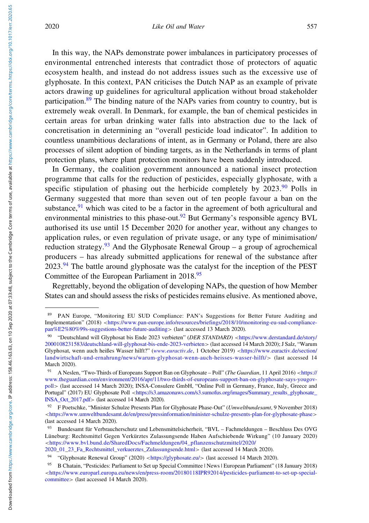Downloaded from https://www.cambridge.org/core. IP address: 158.46163.63, on 10 Sep 2020 at 07:33:48, subject to the Cambridge Core terms of use, available at https://www.cambridge.org/core/terms. https://doi.org/10.1017/e Downloaded from https://www.cambridge.org/core. IP address: 158.46.163.63. On 10 Sep 2020 at 07:33:48, subject to the Cambridge Core terms of use, available at https://www.cambridge.org/toi.org/10.1017/err.2020.65

In this way, the NAPs demonstrate power imbalances in participatory processes of environmental entrenched interests that contradict those of protectors of aquatic ecosystem health, and instead do not address issues such as the excessive use of glyphosate. In this context, PAN criticises the Dutch NAP as an example of private actors drawing up guidelines for agricultural application without broad stakeholder participation.<sup>89</sup> The binding nature of the NAPs varies from country to country, but is extremely weak overall. In Denmark, for example, the ban of chemical pesticides in certain areas for urban drinking water falls into abstraction due to the lack of concretisation in determining an "overall pesticide load indicator". In addition to countless unambitious declarations of intent, as in Germany or Poland, there are also processes of silent adoption of binding targets, as in the Netherlands in terms of plant protection plans, where plant protection monitors have been suddenly introduced.

In Germany, the coalition government announced a national insect protection programme that calls for the reduction of pesticides, especially glyphosate, with a specific stipulation of phasing out the herbicide completely by  $2023$ .<sup>90</sup> Polls in Germany suggested that more than seven out of ten people favour a ban on the substance,  $91$  which was cited to be a factor in the agreement of both agricultural and environmental ministries to this phase-out.<sup>92</sup> But Germany's responsible agency BVL authorised its use until 15 December 2020 for another year, without any changes to application rules, or even regulation of private usage, or any type of minimisation/ reduction strategy.<sup>93</sup> And the Glyphosate Renewal Group – a group of agrochemical producers – has already submitted applications for renewal of the substance after 2023.<sup>94</sup> The battle around glyphosate was the catalyst for the inception of the PEST Committee of the European Parliament in 2018.<sup>95</sup>

Regrettably, beyond the obligation of developing NAPs, the question of how Member States can and should assess the risks of pesticides remains elusive. As mentioned above,

[2020\\_01\\_23\\_Fa\\_Rechtsmittel\\_verkuerztes\\_Zulassungsende.html](https://www.bvl.bund.de/SharedDocs/Fachmeldungen/04_pflanzenschutzmittel/2020/2020_01_23_Fa_Rechtsmittel_verkuerztes_Zulassungsende.html)> (last accessed 14 March 2020).

<sup>89</sup> PAN Europe, "Monitoring EU SUD Compliance: PAN's Suggestions for Better Future Auditing and Implementation" (2018) <[https://www.pan-europe.info/resources/briefings/2018/10/monitoring-eu-sud-compliance](https://www.pan-europe.info/resources/briefings/2018/10/monitoring-eu-sud-compliance-pan%E2%80%99s-suggestions-better-future-auditing)[pan%E2%80%99s-suggestions-better-future-auditing](https://www.pan-europe.info/resources/briefings/2018/10/monitoring-eu-sud-compliance-pan%E2%80%99s-suggestions-better-future-auditing)> (last accessed 13 March 2020).

<sup>90 &</sup>quot;Deutschland will Glyphosat bis Ende 2023 verbieten" (DER STANDARD) <[https://www.derstandard.de/story/](https://www.derstandard.de/story/2000108231583/deutschland-will-glyphosat-bis-ende-2023-verbieten) [2000108231583/deutschland-will-glyphosat-bis-ende-2023-verbieten](https://www.derstandard.de/story/2000108231583/deutschland-will-glyphosat-bis-ende-2023-verbieten)> (last accessed 14 March 2020); J Salz, "Warum Glyphosat, wenn auch heißes Wasser hilft?" ([www.euractiv.de](http://www.euractiv.de), 1 October 2019) <[https://www.euractiv.de/section/](https://www.euractiv.de/section/landwirtschaft-und-ernahrung/news/warum-glyphosat-wenn-auch-heisses-wasser-hilft/) [landwirtschaft-und-ernahrung/news/warum-glyphosat-wenn-auch-heisses-wasser-hilft/](https://www.euractiv.de/section/landwirtschaft-und-ernahrung/news/warum-glyphosat-wenn-auch-heisses-wasser-hilft/)> (last accessed 14 March 2020).

<sup>&</sup>lt;sup>91</sup> A Neslen, "Two-Thirds of Europeans Support Ban on Glyphosate – Poll" (*The Guardian*, 11 April 2016) <[https://](https://www.theguardian.com/environment/2016/apr/11/two-thirds-of-europeans-support-ban-on-glyphosate-says-yougov-poll) [www.theguardian.com/environment/2016/apr/11/two-thirds-of-europeans-support-ban-on-glyphosate-says-yougov](https://www.theguardian.com/environment/2016/apr/11/two-thirds-of-europeans-support-ban-on-glyphosate-says-yougov-poll)[poll](https://www.theguardian.com/environment/2016/apr/11/two-thirds-of-europeans-support-ban-on-glyphosate-says-yougov-poll)> (last accessed 14 March 2020); INSA-Consulere GmbH, "Online Poll in Germany, France, Italy, Greece and Portugal" (2017) EU Glyphosate Poll <[https://s3.amazonaws.com/s3.sumofus.org/images/Summary\\_results\\_glyphosate\\_](https://s3.amazonaws.com/s3.sumofus.org/images/Summary_results_glyphosate_INSA_Oct_2017.pdf) [INSA\\_Oct\\_2017.pdf](https://s3.amazonaws.com/s3.sumofus.org/images/Summary_results_glyphosate_INSA_Oct_2017.pdf)> (last accessed 14 March 2020).

<sup>92</sup> F Poetschke, "Minister Schulze Presents Plan for Glyphosate Phase-Out" (Umweltbundesamt, 9 November 2018)  $\lt$ <https://www.umweltbundesamt.de/en/press/pressinformation/minister-schulze-presents-plan-for-glyphosate-phase>> (last accessed 14 March 2020).

<sup>93</sup> Bundesamt für Verbraucherschutz und Lebensmittelsicherheit, "BVL – Fachmeldungen – Beschluss Des OVG Lüneburg: Rechtsmittel Gegen Verkürztes Zulassungsende Haben Aufschiebende Wirkung" (10 January 2020) <[https://www.bvl.bund.de/SharedDocs/Fachmeldungen/04\\_pflanzenschutzmittel/2020/](https://www.bvl.bund.de/SharedDocs/Fachmeldungen/04_pflanzenschutzmittel/2020/2020_01_23_Fa_Rechtsmittel_verkuerztes_Zulassungsende.html)

<sup>&</sup>lt;sup>94</sup> "Glyphosate Renewal Group" (2020) <<https://glyphosate.eu/>> (last accessed 14 March 2020).

<sup>95</sup> B Chatain, "Pesticides: Parliament to Set up Special Committee | News | European Parliament" (18 January 2018)  $\lt$ [https://www.europarl.europa.eu/news/en/press-room/20180118IPR92014/pesticides-parliament-to-set-up-special](https://www.europarl.europa.eu/news/en/press-room/20180118IPR92014/pesticides-parliament-to-set-up-special-committee)[committee](https://www.europarl.europa.eu/news/en/press-room/20180118IPR92014/pesticides-parliament-to-set-up-special-committee)> (last accessed 14 March 2020).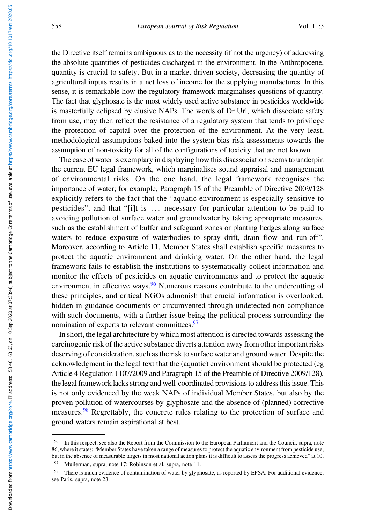the Directive itself remains ambiguous as to the necessity (if not the urgency) of addressing the absolute quantities of pesticides discharged in the environment. In the Anthropocene, quantity is crucial to safety. But in a market-driven society, decreasing the quantity of agricultural inputs results in a net loss of income for the supplying manufactures. In this sense, it is remarkable how the regulatory framework marginalises questions of quantity. The fact that glyphosate is the most widely used active substance in pesticides worldwide is masterfully eclipsed by elusive NAPs. The words of Dr Url, which dissociate safety from use, may then reflect the resistance of a regulatory system that tends to privilege the protection of capital over the protection of the environment. At the very least, methodological assumptions baked into the system bias risk assessments towards the assumption of non-toxicity for all of the configurations of toxicity that are not known.

The case of water is exemplary in displaying how this disassociation seems to underpin the current EU legal framework, which marginalises sound appraisal and management of environmental risks. On the one hand, the legal framework recognises the importance of water; for example, Paragraph 15 of the Preamble of Directive 2009/128 explicitly refers to the fact that the "aquatic environment is especially sensitive to pesticides", and that "[i]t is ::: necessary for particular attention to be paid to avoiding pollution of surface water and groundwater by taking appropriate measures, such as the establishment of buffer and safeguard zones or planting hedges along surface waters to reduce exposure of waterbodies to spray drift, drain flow and run-off". Moreover, according to Article 11, Member States shall establish specific measures to protect the aquatic environment and drinking water. On the other hand, the legal framework fails to establish the institutions to systematically collect information and monitor the effects of pesticides on aquatic environments and to protect the aquatic environment in effective ways.<sup>96</sup> Numerous reasons contribute to the undercutting of these principles, and critical NGOs admonish that crucial information is overlooked, hidden in guidance documents or circumvented through undetected non-compliance with such documents, with a further issue being the political process surrounding the nomination of experts to relevant committees.<sup>97</sup>

In short, the legal architecture by which most attention is directed towards assessing the carcinogenic risk of the active substance diverts attention away from other important risks deserving of consideration, such as the risk to surface water and ground water. Despite the acknowledgment in the legal text that the (aquatic) environment should be protected (eg Article 4 Regulation 1107/2009 and Paragraph 15 of the Preamble of Directive 2009/128), the legal framework lacks strong and well-coordinated provisions to address this issue. This is not only evidenced by the weak NAPs of individual Member States, but also by the proven pollution of watercourses by glyphosate and the absence of (planned) corrective measures.<sup>98</sup> Regrettably, the concrete rules relating to the protection of surface and ground waters remain aspirational at best.

<sup>&</sup>lt;sup>96</sup> In this respect, see also the Report from the Commission to the European Parliament and the Council, supra, note 86, where it states: "Member States have taken a range of measures to protect the aquatic environment from pesticide use, but in the absence of measurable targets in most national action plans it is difficult to assess the progress achieved" at 10.

<sup>97</sup> Muilerman, supra, note 17; Robinson et al, supra, note 11.

<sup>&</sup>lt;sup>98</sup> There is much evidence of contamination of water by glyphosate, as reported by EFSA. For additional evidence, see Paris, supra, note 23.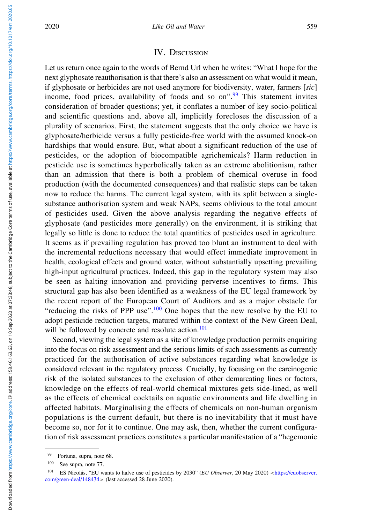## IV. DISCUSSION

Let us return once again to the words of Bernd Url when he writes: "What I hope for the next glyphosate reauthorisation is that there's also an assessment on what would it mean, if glyphosate or herbicides are not used anymore for biodiversity, water, farmers  $[sic]$ income, food prices, availability of foods and so on".<sup>99</sup> This statement invites consideration of broader questions; yet, it conflates a number of key socio-political and scientific questions and, above all, implicitly forecloses the discussion of a plurality of scenarios. First, the statement suggests that the only choice we have is glyphosate/herbicide versus a fully pesticide-free world with the assumed knock-on hardships that would ensure. But, what about a significant reduction of the use of pesticides, or the adoption of biocompatible agrichemicals? Harm reduction in pesticide use is sometimes hyperbolically taken as an extreme abolitionism, rather than an admission that there is both a problem of chemical overuse in food production (with the documented consequences) and that realistic steps can be taken now to reduce the harms. The current legal system, with its split between a singlesubstance authorisation system and weak NAPs, seems oblivious to the total amount of pesticides used. Given the above analysis regarding the negative effects of glyphosate (and pesticides more generally) on the environment, it is striking that legally so little is done to reduce the total quantities of pesticides used in agriculture. It seems as if prevailing regulation has proved too blunt an instrument to deal with the incremental reductions necessary that would effect immediate improvement in health, ecological effects and ground water, without substantially upsetting prevailing high-input agricultural practices. Indeed, this gap in the regulatory system may also be seen as halting innovation and providing perverse incentives to firms. This structural gap has also been identified as a weakness of the EU legal framework by the recent report of the European Court of Auditors and as a major obstacle for "reducing the risks of PPP use".<sup>100</sup> One hopes that the new resolve by the EU to adopt pesticide reduction targets, matured within the context of the New Green Deal, will be followed by concrete and resolute action.<sup>101</sup>

Second, viewing the legal system as a site of knowledge production permits enquiring into the focus on risk assessment and the serious limits of such assessments as currently practiced for the authorisation of active substances regarding what knowledge is considered relevant in the regulatory process. Crucially, by focusing on the carcinogenic risk of the isolated substances to the exclusion of other demarcating lines or factors, knowledge on the effects of real-world chemical mixtures gets side-lined, as well as the effects of chemical cocktails on aquatic environments and life dwelling in affected habitats. Marginalising the effects of chemicals on non-human organism populations is the current default, but there is no inevitability that it must have become so, nor for it to continue. One may ask, then, whether the current configuration of risk assessment practices constitutes a particular manifestation of a "hegemonic

<sup>99</sup> Fortuna, supra, note 68.

<sup>100</sup> See supra, note 77.

<sup>&</sup>lt;sup>101</sup> ES Nicolás, "EU wants to halve use of pesticides by 2030" (*EU Observer*, 20 May 2020) <[https://euobserver.](https://euobserver.com/green-deal/148434) [com/green-deal/148434](https://euobserver.com/green-deal/148434)> (last accessed 28 June 2020).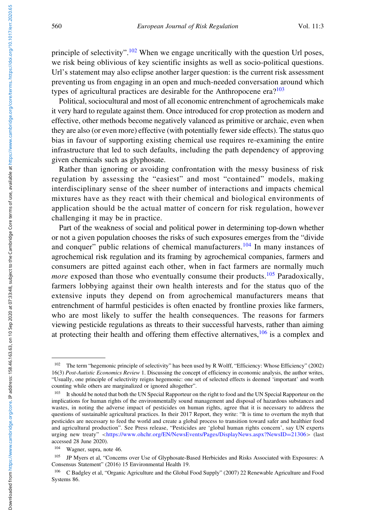principle of selectivity".<sup>102</sup> When we engage uncritically with the question Url poses, we risk being oblivious of key scientific insights as well as socio-political questions. Url's statement may also eclipse another larger question: is the current risk assessment preventing us from engaging in an open and much-needed conversation around which types of agricultural practices are desirable for the Anthropocene era $2^{103}$ 

Political, sociocultural and most of all economic entrenchment of agrochemicals make it very hard to regulate against them. Once introduced for crop protection as modern and effective, other methods become negatively valanced as primitive or archaic, even when they are also (or even more) effective (with potentially fewer side effects). The status quo bias in favour of supporting existing chemical use requires re-examining the entire infrastructure that led to such defaults, including the path dependency of approving given chemicals such as glyphosate.

Rather than ignoring or avoiding confrontation with the messy business of risk regulation by assessing the "easiest" and most "contained" models, making interdisciplinary sense of the sheer number of interactions and impacts chemical mixtures have as they react with their chemical and biological environments of application should be the actual matter of concern for risk regulation, however challenging it may be in practice.

Part of the weakness of social and political power in determining top-down whether or not a given population chooses the risks of such exposures emerges from the "divide and conquer" public relations of chemical manufacturers.<sup>104</sup> In many instances of agrochemical risk regulation and its framing by agrochemical companies, farmers and consumers are pitted against each other, when in fact farmers are normally much *more* exposed than those who eventually consume their products.<sup>105</sup> Paradoxically, farmers lobbying against their own health interests and for the status quo of the extensive inputs they depend on from agrochemical manufacturers means that entrenchment of harmful pesticides is often enacted by frontline proxies like farmers, who are most likely to suffer the health consequences. The reasons for farmers viewing pesticide regulations as threats to their successful harvests, rather than aiming at protecting their health and offering them effective alternatives,  $106$  is a complex and

<sup>102</sup> The term "hegemonic principle of selectivity" has been used by R Wolff, "Efficiency: Whose Efficiency" (2002) 16(3) Post-Autistic Economics Review 1. Discussing the concept of efficiency in economic analysis, the author writes, "Usually, one principle of selectivity reigns hegemonic: one set of selected effects is deemed 'important' and worth counting while others are marginalized or ignored altogether".

<sup>&</sup>lt;sup>103</sup> It should be noted that both the UN Special Rapporteur on the right to food and the UN Special Rapporteur on the implications for human rights of the environmentally sound management and disposal of hazardous substances and wastes, in noting the adverse impact of pesticides on human rights, agree that it is necessary to address the questions of sustainable agricultural practices. In their 2017 Report, they write: "It is time to overturn the myth that pesticides are necessary to feed the world and create a global process to transition toward safer and healthier food and agricultural production". See Press release, "Pesticides are 'global human rights concern', say UN experts urging new treaty" <[https://www.ohchr.org/EN/NewsEvents/Pages/DisplayNews.aspx?NewsID](https://www.ohchr.org/EN/NewsEvents/Pages/DisplayNews.aspx?NewsID%3d21306)=[21306](https://www.ohchr.org/EN/NewsEvents/Pages/DisplayNews.aspx?NewsID%3d21306)> (last accessed 28 June 2020).

<sup>104</sup> Wagner, supra, note 46.

<sup>105</sup> JP Myers et al, "Concerns over Use of Glyphosate-Based Herbicides and Risks Associated with Exposures: A Consensus Statement" (2016) 15 Environmental Health 19.

<sup>106</sup> C Badgley et al, "Organic Agriculture and the Global Food Supply" (2007) 22 Renewable Agriculture and Food Systems 86.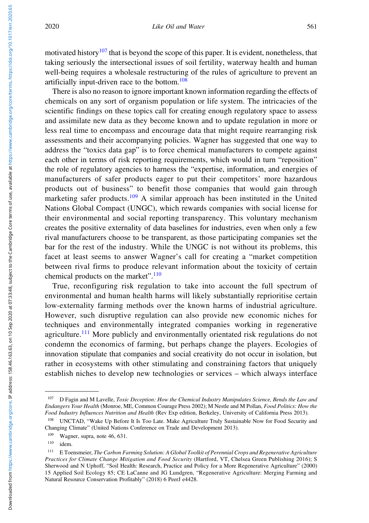motivated history<sup>107</sup> that is beyond the scope of this paper. It is evident, nonetheless, that taking seriously the intersectional issues of soil fertility, waterway health and human well-being requires a wholesale restructuring of the rules of agriculture to prevent an artificially input-driven race to the bottom.<sup>108</sup>

There is also no reason to ignore important known information regarding the effects of chemicals on any sort of organism population or life system. The intricacies of the scientific findings on these topics call for creating enough regulatory space to assess and assimilate new data as they become known and to update regulation in more or less real time to encompass and encourage data that might require rearranging risk assessments and their accompanying policies. Wagner has suggested that one way to address the "toxics data gap" is to force chemical manufacturers to compete against each other in terms of risk reporting requirements, which would in turn "reposition" the role of regulatory agencies to harness the "expertise, information, and energies of manufacturers of safer products eager to put their competitors' more hazardous products out of business" to benefit those companies that would gain through marketing safer products.<sup>109</sup> A similar approach has been instituted in the United Nations Global Compact (UNGC), which rewards companies with social license for their environmental and social reporting transparency. This voluntary mechanism creates the positive externality of data baselines for industries, even when only a few rival manufacturers choose to be transparent, as those participating companies set the bar for the rest of the industry. While the UNGC is not without its problems, this facet at least seems to answer Wagner's call for creating a "market competition between rival firms to produce relevant information about the toxicity of certain chemical products on the market".<sup>110</sup>

True, reconfiguring risk regulation to take into account the full spectrum of environmental and human health harms will likely substantially reprioritise certain low-externality farming methods over the known harms of industrial agriculture. However, such disruptive regulation can also provide new economic niches for techniques and environmentally integrated companies working in regenerative agriculture.<sup>111</sup> More publicly and environmentally orientated risk regulations do not condemn the economics of farming, but perhaps change the players. Ecologies of innovation stipulate that companies and social creativity do not occur in isolation, but rather in ecosystems with other stimulating and constraining factors that uniquely establish niches to develop new technologies or services – which always interface

 $107$  D Fagin and M Lavelle, Toxic Deception: How the Chemical Industry Manipulates Science, Bends the Law and Endangers Your Health (Monroe, ME, Common Courage Press 2002); M Nestle and M Pollan, Food Politics: How the Food Industry Influences Nutrition and Health (Rev Exp edition, Berkeley, University of California Press 2013).

<sup>&</sup>lt;sup>108</sup> UNCTAD, "Wake Up Before It Is Too Late. Make Agriculture Truly Sustainable Now for Food Security and Changing Climate" (United Nations Conference on Trade and Development 2013).

<sup>109</sup> Wagner, supra, note 46, 631.

 $110$  idem.

<sup>&</sup>lt;sup>111</sup> E Toensmeier, The Carbon Farming Solution: A Global Toolkit of Perennial Crops and Regenerative Agriculture Practices for Climate Change Mitigation and Food Security (Hartford, VT, Chelsea Green Publishing 2016); S Sherwood and N Uphoff, "Soil Health: Research, Practice and Policy for a More Regenerative Agriculture" (2000) 15 Applied Soil Ecology 85; CE LaCanne and JG Lundgren, "Regenerative Agriculture: Merging Farming and Natural Resource Conservation Profitably" (2018) 6 PeerJ e4428.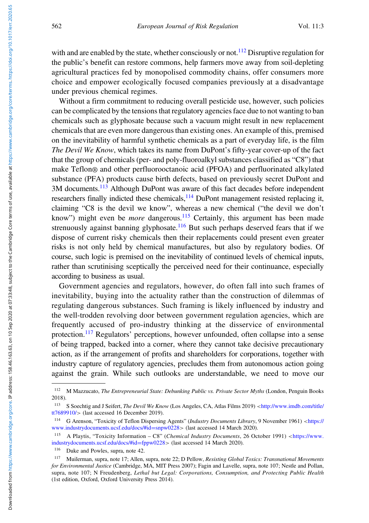with and are enabled by the state, whether consciously or not.<sup>112</sup> Disruptive regulation for the public's benefit can restore commons, help farmers move away from soil-depleting agricultural practices fed by monopolised commodity chains, offer consumers more choice and empower ecologically focused companies previously at a disadvantage under previous chemical regimes.

Without a firm commitment to reducing overall pesticide use, however, such policies can be complicated by the tensions that regulatory agencies face due to not wanting to ban chemicals such as glyphosate because such a vacuum might result in new replacement chemicals that are even more dangerous than existing ones. An example of this, premised on the inevitability of harmful synthetic chemicals as a part of everyday life, is the film The Devil We Know, which takes its name from DuPont's fifty-year cover-up of the fact that the group of chemicals (per- and poly-fluoroalkyl substances classified as "C8") that make Teflon® and other perfluorooctanoic acid (PFOA) and perfluorinated alkylated substance (PFA) products cause birth defects, based on previously secret DuPont and 3M documents.113 Although DuPont was aware of this fact decades before independent researchers finally indicted these chemicals, $114$  DuPont management resisted replacing it, claiming "C8 is the devil we know", whereas a new chemical ("the devil we don't know") might even be *more* dangerous.<sup>115</sup> Certainly, this argument has been made strenuously against banning glyphosate.<sup>116</sup> But such perhaps deserved fears that if we dispose of current risky chemicals then their replacements could present even greater risks is not only held by chemical manufactures, but also by regulatory bodies. Of course, such logic is premised on the inevitability of continued levels of chemical inputs, rather than scrutinising sceptically the perceived need for their continuance, especially according to business as usual.

Government agencies and regulators, however, do often fall into such frames of inevitability, buying into the actuality rather than the construction of dilemmas of regulating dangerous substances. Such framing is likely influenced by industry and the well-trodden revolving door between government regulation agencies, which are frequently accused of pro-industry thinking at the disservice of environmental protection.<sup>117</sup> Regulators' perceptions, however unfounded, often collapse into a sense of being trapped, backed into a corner, where they cannot take decisive precautionary action, as if the arrangement of profits and shareholders for corporations, together with industry capture of regulatory agencies, precludes them from autonomous action going against the grain. While such outlooks are understandable, we need to move our

<sup>112</sup> M Mazzucato, The Entrepreneurial State: Debunking Public vs. Private Sector Myths (London, Penguin Books 2018).

<sup>&</sup>lt;sup>113</sup> S Soechtig and J Seifert, *The Devil We Know* (Los Angeles, CA, Atlas Films 2019) <[http://www.imdb.com/title/](http://www.imdb.com/title/tt7689910/) [tt7689910/](http://www.imdb.com/title/tt7689910/)> (last accessed 16 December 2019).

<sup>&</sup>lt;sup>114</sup> G Arenson, "Toxicity of Teflon Dispersing Agents" (*Industry Documents Library*, 9 November 1961) <[https://](https://www.industrydocuments.ucsf.edu/docs/#id%3dsnpw0228) [www.industrydocuments.ucsf.edu/docs/#id](https://www.industrydocuments.ucsf.edu/docs/#id%3dsnpw0228)=[snpw0228](https://www.industrydocuments.ucsf.edu/docs/#id%3dsnpw0228)> (last accessed 14 March 2020).

<sup>&</sup>lt;sup>115</sup> A Playtis, "Toxicity Information – C8" (*Chemical Industry Documents*, 26 October 1991) <[https://www.](https://www.industrydocuments.ucsf.edu/docs/#id%3dfppw0228) [industrydocuments.ucsf.edu/docs/#id](https://www.industrydocuments.ucsf.edu/docs/#id%3dfppw0228)=[fppw0228](https://www.industrydocuments.ucsf.edu/docs/#id%3dfppw0228)> (last accessed 14 March 2020).

<sup>116</sup> Duke and Powles, supra, note 42.

<sup>&</sup>lt;sup>117</sup> Muilerman, supra, note 17; Allen, supra, note 22; D Pellow, Resisting Global Toxics: Transnational Movements for Environmental Justice (Cambridge, MA, MIT Press 2007); Fagin and Lavelle, supra, note 107; Nestle and Pollan, supra, note 107; N Freudenberg, Lethal but Legal: Corporations, Consumption, and Protecting Public Health (1st edition, Oxford, Oxford University Press 2014).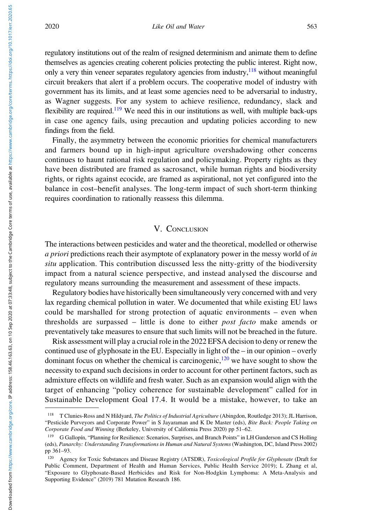Downloaded from https://www.cambridge.org/core. IP address: 158.46163.63, on 10 Sep 2020 at 07:33:48, subject to the Cambridge Core terms of use, available at https://www.cambridge.org/core/terms. https://doi.org/10.1017/e Downloaded from https://www.cambridge.org/core. IP address: 158.46.163.63. On 10 Sep 2020 at 07:33:48, subject to the Cambridge Core terms of use, available at https://www.cambridge.org/cloi.org/10.1017/err.2020.65

regulatory institutions out of the realm of resigned determinism and animate them to define themselves as agencies creating coherent policies protecting the public interest. Right now, only a very thin veneer separates regulatory agencies from industry,  $118$  without meaningful circuit breakers that alert if a problem occurs. The cooperative model of industry with government has its limits, and at least some agencies need to be adversarial to industry, as Wagner suggests. For any system to achieve resilience, redundancy, slack and flexibility are required.<sup>119</sup> We need this in our institutions as well, with multiple back-ups in case one agency fails, using precaution and updating policies according to new findings from the field.

Finally, the asymmetry between the economic priorities for chemical manufacturers and farmers bound up in high-input agriculture overshadowing other concerns continues to haunt rational risk regulation and policymaking. Property rights as they have been distributed are framed as sacrosanct, while human rights and biodiversity rights, or rights against ecocide, are framed as aspirational, not yet configured into the balance in cost–benefit analyses. The long-term impact of such short-term thinking requires coordination to rationally reassess this dilemma.

### V. CONCLUSION

The interactions between pesticides and water and the theoretical, modelled or otherwise a priori predictions reach their asymptote of explanatory power in the messy world of in situ application. This contribution discussed less the nitty-gritty of the biodiversity impact from a natural science perspective, and instead analysed the discourse and regulatory means surrounding the measurement and assessment of these impacts.

Regulatory bodies have historically been simultaneously very concerned with and very lax regarding chemical pollution in water. We documented that while existing EU laws could be marshalled for strong protection of aquatic environments – even when thresholds are surpassed – little is done to either post facto make amends or preventatively take measures to ensure that such limits will not be breached in the future.

Risk assessment will play a crucial role in the 2022 EFSA decision to deny or renew the continued use of glyphosate in the EU. Especially in light of the – in our opinion – overly dominant focus on whether the chemical is carcinogenic, $120$  we have sought to show the necessity to expand such decisions in order to account for other pertinent factors, such as admixture effects on wildlife and fresh water. Such as an expansion would align with the target of enhancing "policy coherence for sustainable development" called for in Sustainable Development Goal 17.4. It would be a mistake, however, to take an

<sup>&</sup>lt;sup>118</sup> T Clunies-Ross and N Hildyard, *The Politics of Industrial Agriculture* (Abingdon, Routledge 2013); JL Harrison, "Pesticide Purveyors and Corporate Power" in S Jayaraman and K De Master (eds), Bite Back: People Taking on Corporate Food and Winning (Berkeley, University of California Press 2020) pp 51–62.

<sup>119</sup> G Gallopín, "Planning for Resilience: Scenarios, Surprises, and Branch Points" in LH Gunderson and CS Holling (eds), Panarchy: Understanding Transformations in Human and Natural Systems (Washington, DC, Island Press 2002) pp 361–93.

<sup>&</sup>lt;sup>120</sup> Agency for Toxic Substances and Disease Registry (ATSDR), Toxicological Profile for Glyphosate (Draft for Public Comment, Department of Health and Human Services, Public Health Service 2019); L Zhang et al, "Exposure to Glyphosate-Based Herbicides and Risk for Non-Hodgkin Lymphoma: A Meta-Analysis and Supporting Evidence" (2019) 781 Mutation Research 186.